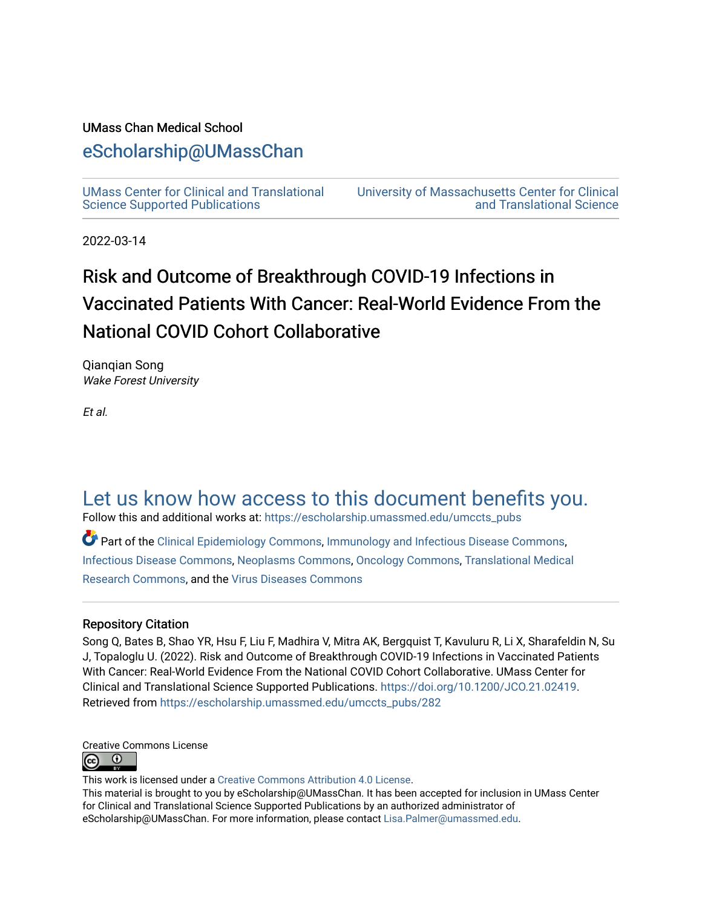# UMass Chan Medical School

# [eScholarship@UMassChan](https://escholarship.umassmed.edu/)

[UMass Center for Clinical and Translational](https://escholarship.umassmed.edu/umccts_pubs)  [Science Supported Publications](https://escholarship.umassmed.edu/umccts_pubs)

[University of Massachusetts Center for Clinical](https://escholarship.umassmed.edu/umccts)  [and Translational Science](https://escholarship.umassmed.edu/umccts) 

2022-03-14

# Risk and Outcome of Breakthrough COVID-19 Infections in Vaccinated Patients With Cancer: Real-World Evidence From the National COVID Cohort Collaborative

Qianqian Song Wake Forest University

Et al.

# [Let us know how access to this document benefits you.](https://arcsapps.umassmed.edu/redcap/surveys/?s=XWRHNF9EJE)

Follow this and additional works at: [https://escholarship.umassmed.edu/umccts\\_pubs](https://escholarship.umassmed.edu/umccts_pubs?utm_source=escholarship.umassmed.edu%2Fumccts_pubs%2F282&utm_medium=PDF&utm_campaign=PDFCoverPages)

Part of the [Clinical Epidemiology Commons,](https://network.bepress.com/hgg/discipline/815?utm_source=escholarship.umassmed.edu%2Fumccts_pubs%2F282&utm_medium=PDF&utm_campaign=PDFCoverPages) [Immunology and Infectious Disease Commons,](https://network.bepress.com/hgg/discipline/33?utm_source=escholarship.umassmed.edu%2Fumccts_pubs%2F282&utm_medium=PDF&utm_campaign=PDFCoverPages) [Infectious Disease Commons,](https://network.bepress.com/hgg/discipline/689?utm_source=escholarship.umassmed.edu%2Fumccts_pubs%2F282&utm_medium=PDF&utm_campaign=PDFCoverPages) [Neoplasms Commons](https://network.bepress.com/hgg/discipline/924?utm_source=escholarship.umassmed.edu%2Fumccts_pubs%2F282&utm_medium=PDF&utm_campaign=PDFCoverPages), [Oncology Commons](https://network.bepress.com/hgg/discipline/694?utm_source=escholarship.umassmed.edu%2Fumccts_pubs%2F282&utm_medium=PDF&utm_campaign=PDFCoverPages), [Translational Medical](https://network.bepress.com/hgg/discipline/1124?utm_source=escholarship.umassmed.edu%2Fumccts_pubs%2F282&utm_medium=PDF&utm_campaign=PDFCoverPages)  [Research Commons,](https://network.bepress.com/hgg/discipline/1124?utm_source=escholarship.umassmed.edu%2Fumccts_pubs%2F282&utm_medium=PDF&utm_campaign=PDFCoverPages) and the [Virus Diseases Commons](https://network.bepress.com/hgg/discipline/998?utm_source=escholarship.umassmed.edu%2Fumccts_pubs%2F282&utm_medium=PDF&utm_campaign=PDFCoverPages)

# Repository Citation

Song Q, Bates B, Shao YR, Hsu F, Liu F, Madhira V, Mitra AK, Bergquist T, Kavuluru R, Li X, Sharafeldin N, Su J, Topaloglu U. (2022). Risk and Outcome of Breakthrough COVID-19 Infections in Vaccinated Patients With Cancer: Real-World Evidence From the National COVID Cohort Collaborative. UMass Center for Clinical and Translational Science Supported Publications.<https://doi.org/10.1200/JCO.21.02419>. Retrieved from [https://escholarship.umassmed.edu/umccts\\_pubs/282](https://escholarship.umassmed.edu/umccts_pubs/282?utm_source=escholarship.umassmed.edu%2Fumccts_pubs%2F282&utm_medium=PDF&utm_campaign=PDFCoverPages) 

Creative Commons License  $\bullet$  $(c<sub>c</sub>)$ 

This work is licensed under a [Creative Commons Attribution 4.0 License](http://creativecommons.org/licenses/by/4.0/).

This material is brought to you by eScholarship@UMassChan. It has been accepted for inclusion in UMass Center for Clinical and Translational Science Supported Publications by an authorized administrator of eScholarship@UMassChan. For more information, please contact [Lisa.Palmer@umassmed.edu](mailto:Lisa.Palmer@umassmed.edu).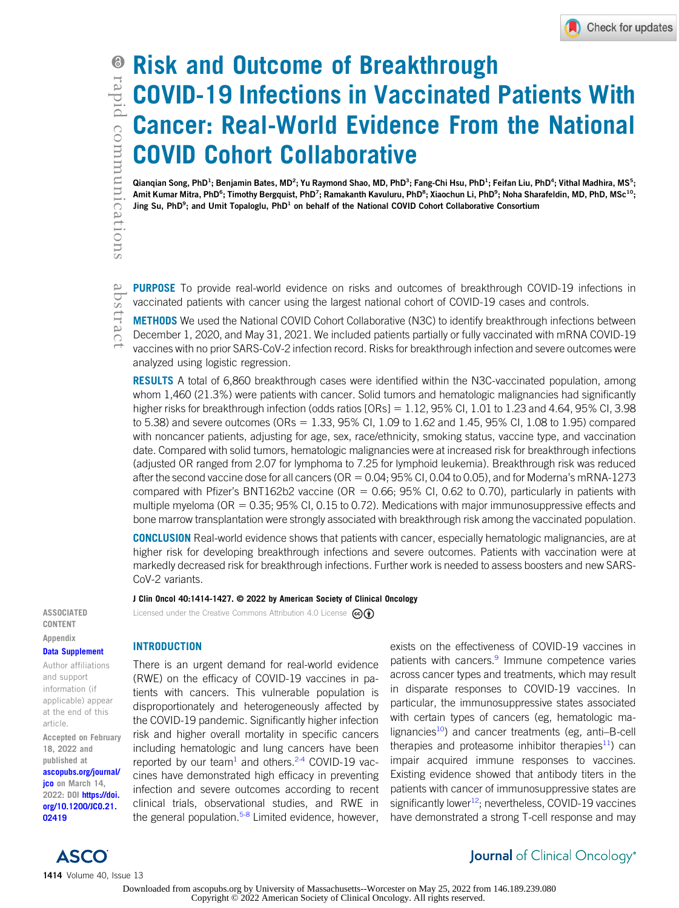# Risk and Outcome of Breakthrough COVID-19 Infections in Vaccinated Patients With Cancer: Real-World Evidence From the National COVID Cohort Collaborative

Qianqian Song, PhD<sup>1</sup>; Benjamin Bates, MD<sup>2</sup>; Yu Raymond Shao, MD, PhD<sup>3</sup>; Fang-Chi Hsu, PhD<sup>1</sup>; Feifan Liu, PhD<sup>4</sup>; Vithal Madhira, MS<sup>5</sup>; Amit Kumar Mitra, PhD<sup>6</sup>; Timothy Bergquist, PhD<sup>7</sup>; Ramakanth Kavuluru, PhD<sup>8</sup>; Xiaochun Li, PhD<sup>9</sup>; Noha Sharafeldin, MD, PhD, MSc<sup>10</sup>; Jing Su, PhD<sup>9</sup>; and Umit Topaloglu, PhD<sup>1</sup> on behalf of the National COVID Cohort Collaborative Consortium

PURPOSE To provide real-world evidence on risks and outcomes of breakthrough COVID-19 infections in vaccinated patients with cancer using the largest national cohort of COVID-19 cases and controls.

METHODS We used the National COVID Cohort Collaborative (N3C) to identify breakthrough infections between December 1, 2020, and May 31, 2021. We included patients partially or fully vaccinated with mRNA COVID-19 vaccines with no prior SARS-CoV-2 infection record. Risks for breakthrough infection and severe outcomes were analyzed using logistic regression.

**RESULTS** A total of 6,860 breakthrough cases were identified within the N3C-vaccinated population, among whom 1,460 (21.3%) were patients with cancer. Solid tumors and hematologic malignancies had significantly higher risks for breakthrough infection (odds ratios  $[ORs] = 1.12$ , 95% Cl, 1.01 to 1.23 and 4.64, 95% Cl, 3.98 to 5.38) and severe outcomes (ORs = 1.33, 95% CI, 1.09 to 1.62 and 1.45, 95% CI, 1.08 to 1.95) compared with noncancer patients, adjusting for age, sex, race/ethnicity, smoking status, vaccine type, and vaccination date. Compared with solid tumors, hematologic malignancies were at increased risk for breakthrough infections (adjusted OR ranged from 2.07 for lymphoma to 7.25 for lymphoid leukemia). Breakthrough risk was reduced after the second vaccine dose for all cancers ( $OR = 0.04$ ;  $95\%$  CI, 0.04 to 0.05), and for Moderna's mRNA-1273 compared with Pfizer's BNT162b2 vaccine ( $OR = 0.66$ ; 95% CI, 0.62 to 0.70), particularly in patients with multiple myeloma (OR =  $0.35$ ; 95% CI, 0.15 to 0.72). Medications with major immunosuppressive effects and bone marrow transplantation were strongly associated with breakthrough risk among the vaccinated population.

**CONCLUSION** Real-world evidence shows that patients with cancer, especially hematologic malignancies, are at higher risk for developing breakthrough infections and severe outcomes. Patients with vaccination were at markedly decreased risk for breakthrough infections. Further work is needed to assess boosters and new SARS-CoV-2 variants.

#### J Clin Oncol 40:1414-1427. © 2022 by American Society of Clinical Oncology

Licensed under the Creative Commons Attribution 4.0 License  $\mathbf{G}(\mathbf{f})$ 

ASSOCIATED CONTENT Appendix

#### [Data Supplement](https://ascopubs.org/doi/suppl/10.1200/JCO.21.02419)

Author affiliations and support information (if applicable) appear at the end of this article.

Accepted on February 18, 2022 and published at [ascopubs.org/journal/](http://ascopubs.org/journal/jco) [jco](http://ascopubs.org/journal/jco) on March 14, 2022: DOI [https://doi.](http://ascopubs.org/doi/full/10.1200/JCO.21.02419) [org/10.1200/JCO.21.](http://ascopubs.org/doi/full/10.1200/JCO.21.02419) [02419](http://ascopubs.org/doi/full/10.1200/JCO.21.02419)

## INTRODUCTION

There is an urgent demand for real-world evidence (RWE) on the efficacy of COVID-19 vaccines in patients with cancers. This vulnerable population is disproportionately and heterogeneously affected by the COVID-19 pandemic. Significantly higher infection risk and higher overall mortality in specific cancers including hematologic and lung cancers have been reported by our team<sup>[1](#page-13-0)</sup> and others.<sup>[2](#page-13-1)[-4](#page-13-2)</sup> COVID-19 vaccines have demonstrated high efficacy in preventing infection and severe outcomes according to recent clinical trials, observational studies, and RWE in the general population. $5-8$  $5-8$  Limited evidence, however, exists on the effectiveness of COVID-19 vaccines in patients with cancers.<sup>[9](#page-13-5)</sup> Immune competence varies across cancer types and treatments, which may result in disparate responses to COVID-19 vaccines. In particular, the immunosuppressive states associated with certain types of cancers (eg, hematologic malignancies<sup>10</sup>) and cancer treatments (eg, anti-B-cell therapies and proteasome inhibitor therapies<sup>[11](#page-13-7)</sup>) can impair acquired immune responses to vaccines. Existing evidence showed that antibody titers in the patients with cancer of immunosuppressive states are significantly lower $^{12}$ ; nevertheless, COVID-19 vaccines have demonstrated a strong T-cell response and may

# Journal of Clinical Oncology®

Downloaded from ascopubs.org by University of Massachusetts--Worcester on May 25, 2022 from 146.189.239.080 Copyright © 2022 American Society of Clinical Oncology. All rights reserved.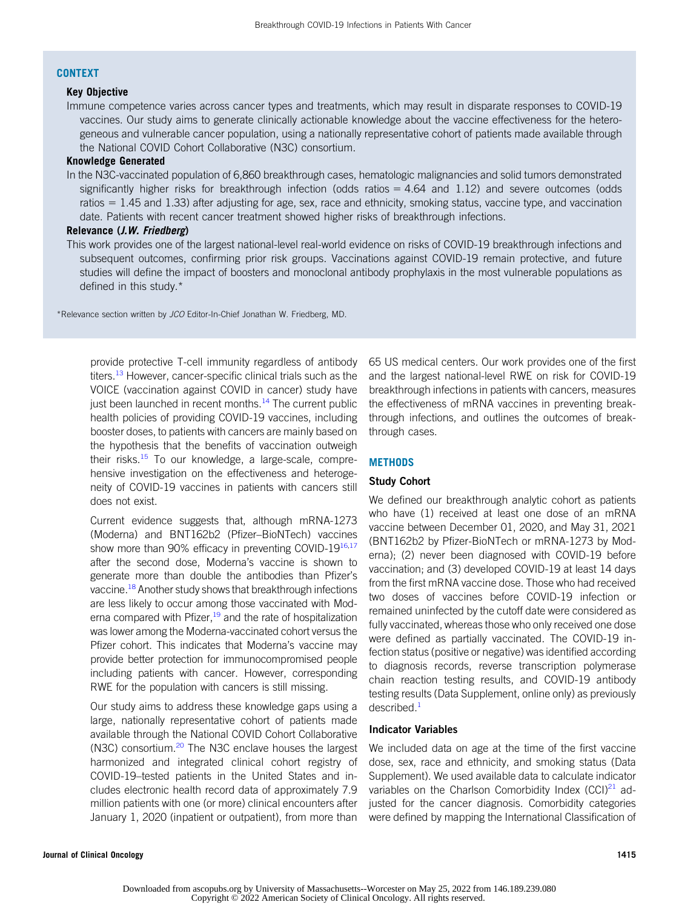#### CONTEXT

# Key Objective

Immune competence varies across cancer types and treatments, which may result in disparate responses to COVID-19 vaccines. Our study aims to generate clinically actionable knowledge about the vaccine effectiveness for the heterogeneous and vulnerable cancer population, using a nationally representative cohort of patients made available through the National COVID Cohort Collaborative (N3C) consortium.

#### Knowledge Generated

In the N3C-vaccinated population of 6,860 breakthrough cases, hematologic malignancies and solid tumors demonstrated significantly higher risks for breakthrough infection (odds ratios  $= 4.64$  and 1.12) and severe outcomes (odds ratios  $= 1.45$  and 1.33) after adjusting for age, sex, race and ethnicity, smoking status, vaccine type, and vaccination date. Patients with recent cancer treatment showed higher risks of breakthrough infections.

## Relevance (J.W. Friedberg)

This work provides one of the largest national-level real-world evidence on risks of COVID-19 breakthrough infections and subsequent outcomes, confirming prior risk groups. Vaccinations against COVID-19 remain protective, and future studies will define the impact of boosters and monoclonal antibody prophylaxis in the most vulnerable populations as defined in this study.\*

\*Relevance section written by JCO Editor-In-Chief Jonathan W. Friedberg, MD.

provide protective T-cell immunity regardless of antibody titers.<sup>[13](#page-13-9)</sup> However, cancer-specific clinical trials such as the VOICE (vaccination against COVID in cancer) study have just been launched in recent months. $14$  The current public health policies of providing COVID-19 vaccines, including booster doses, to patients with cancers are mainly based on the hypothesis that the benefits of vaccination outweigh their risks. $15$  To our knowledge, a large-scale, comprehensive investigation on the effectiveness and heterogeneity of COVID-19 vaccines in patients with cancers still does not exist.

Current evidence suggests that, although mRNA-1273 (Moderna) and BNT162b2 (Pfizer–BioNTech) vaccines show more than 90% efficacy in preventing COVID-19<sup>16,[17](#page-13-13)</sup> after the second dose, Moderna's vaccine is shown to generate more than double the antibodies than Pfizer's vaccine.<sup>18</sup> Another study shows that breakthrough infections are less likely to occur among those vaccinated with Moderna compared with Pfizer, $19$  and the rate of hospitalization was lower among the Moderna-vaccinated cohort versus the Pfizer cohort. This indicates that Moderna's vaccine may provide better protection for immunocompromised people including patients with cancer. However, corresponding RWE for the population with cancers is still missing.

Our study aims to address these knowledge gaps using a large, nationally representative cohort of patients made available through the National COVID Cohort Collaborative (N3C) consortium.<sup>[20](#page-13-16)</sup> The N3C enclave houses the largest harmonized and integrated clinical cohort registry of COVID-19–tested patients in the United States and includes electronic health record data of approximately 7.9 million patients with one (or more) clinical encounters after January 1, 2020 (inpatient or outpatient), from more than

65 US medical centers. Our work provides one of the first and the largest national-level RWE on risk for COVID-19 breakthrough infections in patients with cancers, measures the effectiveness of mRNA vaccines in preventing breakthrough infections, and outlines the outcomes of breakthrough cases.

## **METHODS**

## Study Cohort

We defined our breakthrough analytic cohort as patients who have (1) received at least one dose of an mRNA vaccine between December 01, 2020, and May 31, 2021 (BNT162b2 by Pfizer-BioNTech or mRNA-1273 by Moderna); (2) never been diagnosed with COVID-19 before vaccination; and (3) developed COVID-19 at least 14 days from the first mRNA vaccine dose. Those who had received two doses of vaccines before COVID-19 infection or remained uninfected by the cutoff date were considered as fully vaccinated, whereas those who only received one dose were defined as partially vaccinated. The COVID-19 infection status (positive or negative) was identified according to diagnosis records, reverse transcription polymerase chain reaction testing results, and COVID-19 antibody testing results (Data Supplement, online only) as previously described.<sup>[1](#page-13-0)</sup>

#### Indicator Variables

We included data on age at the time of the first vaccine dose, sex, race and ethnicity, and smoking status (Data Supplement). We used available data to calculate indicator variables on the Charlson Comorbidity Index  $(CCl)<sup>21</sup>$  $(CCl)<sup>21</sup>$  $(CCl)<sup>21</sup>$  adjusted for the cancer diagnosis. Comorbidity categories were defined by mapping the International Classification of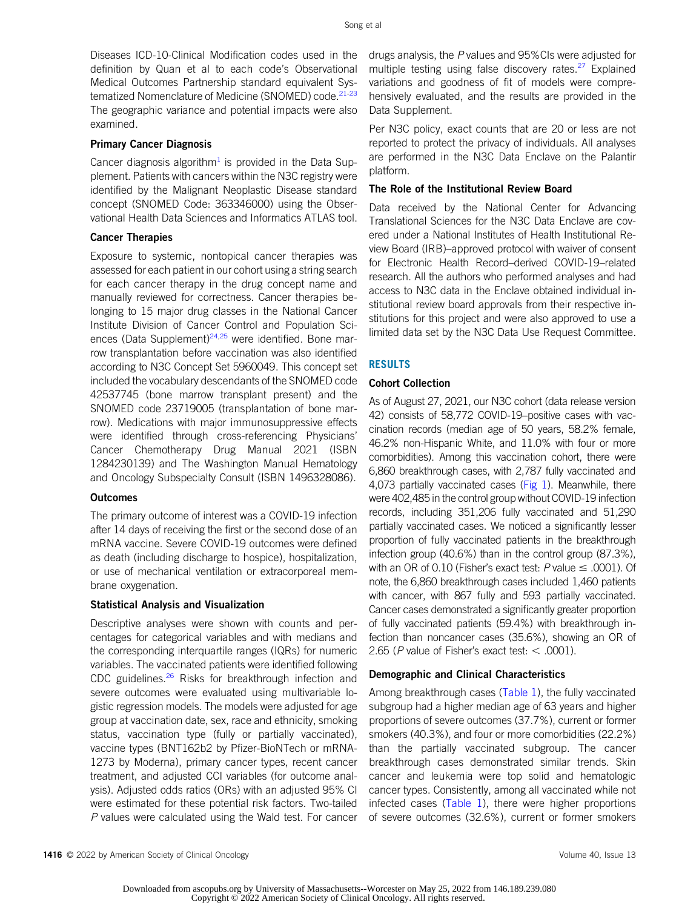Diseases ICD-10-Clinical Modification codes used in the definition by Quan et al to each code's Observational Medical Outcomes Partnership standard equivalent Sys-tematized Nomenclature of Medicine (SNOMED) code.<sup>21[-23](#page-13-18)</sup> The geographic variance and potential impacts were also examined.

# Primary Cancer Diagnosis

Cancer diagnosis algorithm<sup>[1](#page-13-0)</sup> is provided in the Data Supplement. Patients with cancers within the N3C registry were identified by the Malignant Neoplastic Disease standard concept (SNOMED Code: 363346000) using the Observational Health Data Sciences and Informatics ATLAS tool.

# Cancer Therapies

Exposure to systemic, nontopical cancer therapies was assessed for each patient in our cohort using a string search for each cancer therapy in the drug concept name and manually reviewed for correctness. Cancer therapies belonging to 15 major drug classes in the National Cancer Institute Division of Cancer Control and Population Sci-ences (Data Supplement)<sup>[24](#page-13-19)[,25](#page-14-0)</sup> were identified. Bone marrow transplantation before vaccination was also identified according to N3C Concept Set 5960049. This concept set included the vocabulary descendants of the SNOMED code 42537745 (bone marrow transplant present) and the SNOMED code 23719005 (transplantation of bone marrow). Medications with major immunosuppressive effects were identified through cross-referencing Physicians' Cancer Chemotherapy Drug Manual 2021 (ISBN 1284230139) and The Washington Manual Hematology and Oncology Subspecialty Consult (ISBN 1496328086).

## **Outcomes**

The primary outcome of interest was a COVID-19 infection after 14 days of receiving the first or the second dose of an mRNA vaccine. Severe COVID-19 outcomes were defined as death (including discharge to hospice), hospitalization, or use of mechanical ventilation or extracorporeal membrane oxygenation.

# Statistical Analysis and Visualization

Descriptive analyses were shown with counts and percentages for categorical variables and with medians and the corresponding interquartile ranges (IQRs) for numeric variables. The vaccinated patients were identified following CDC guidelines.<sup>26</sup> Risks for breakthrough infection and severe outcomes were evaluated using multivariable logistic regression models. The models were adjusted for age group at vaccination date, sex, race and ethnicity, smoking status, vaccination type (fully or partially vaccinated), vaccine types (BNT162b2 by Pfizer-BioNTech or mRNA-1273 by Moderna), primary cancer types, recent cancer treatment, and adjusted CCI variables (for outcome analysis). Adjusted odds ratios (ORs) with an adjusted 95% CI were estimated for these potential risk factors. Two-tailed P values were calculated using the Wald test. For cancer

drugs analysis, the P values and 95%CIs were adjusted for multiple testing using false discovery rates.<sup>[27](#page-14-2)</sup> Explained variations and goodness of fit of models were comprehensively evaluated, and the results are provided in the Data Supplement.

Per N3C policy, exact counts that are 20 or less are not reported to protect the privacy of individuals. All analyses are performed in the N3C Data Enclave on the Palantir platform.

# The Role of the Institutional Review Board

Data received by the National Center for Advancing Translational Sciences for the N3C Data Enclave are covered under a National Institutes of Health Institutional Review Board (IRB)–approved protocol with waiver of consent for Electronic Health Record–derived COVID-19–related research. All the authors who performed analyses and had access to N3C data in the Enclave obtained individual institutional review board approvals from their respective institutions for this project and were also approved to use a limited data set by the N3C Data Use Request Committee.

# RESULTS

# Cohort Collection

As of August 27, 2021, our N3C cohort (data release version 42) consists of 58,772 COVID-19–positive cases with vaccination records (median age of 50 years, 58.2% female, 46.2% non-Hispanic White, and 11.0% with four or more comorbidities). Among this vaccination cohort, there were 6,860 breakthrough cases, with 2,787 fully vaccinated and 4,073 partially vaccinated cases ( $Fig 1$ ). Meanwhile, there were 402,485 in the control group without COVID-19 infection records, including 351,206 fully vaccinated and 51,290 partially vaccinated cases. We noticed a significantly lesser proportion of fully vaccinated patients in the breakthrough infection group (40.6%) than in the control group (87.3%), with an OR of 0.10 (Fisher's exact test: P value  $\leq$  .0001). Of note, the 6,860 breakthrough cases included 1,460 patients with cancer, with 867 fully and 593 partially vaccinated. Cancer cases demonstrated a significantly greater proportion of fully vaccinated patients (59.4%) with breakthrough infection than noncancer cases (35.6%), showing an OR of 2.65 (P value of Fisher's exact test:  $<$  .0001).

# Demographic and Clinical Characteristics

Among breakthrough cases ([Table 1\)](#page-5-0), the fully vaccinated subgroup had a higher median age of 63 years and higher proportions of severe outcomes (37.7%), current or former smokers (40.3%), and four or more comorbidities (22.2%) than the partially vaccinated subgroup. The cancer breakthrough cases demonstrated similar trends. Skin cancer and leukemia were top solid and hematologic cancer types. Consistently, among all vaccinated while not infected cases [\(Table 1\)](#page-5-0), there were higher proportions of severe outcomes (32.6%), current or former smokers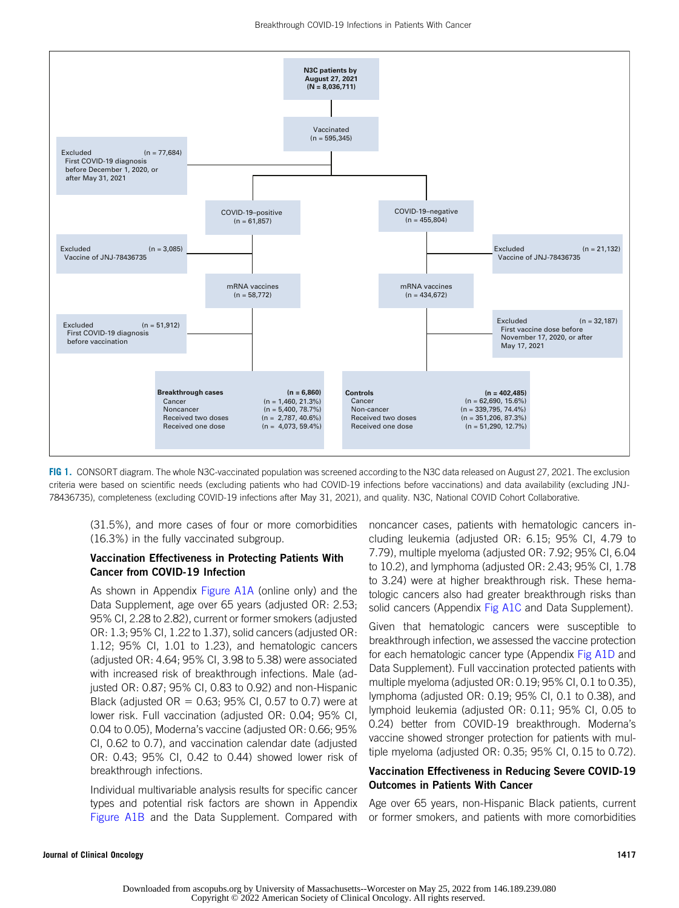

<span id="page-4-0"></span>FIG 1. CONSORT diagram. The whole N3C-vaccinated population was screened according to the N3C data released on August 27, 2021. The exclusion criteria were based on scientific needs (excluding patients who had COVID-19 infections before vaccinations) and data availability (excluding JNJ-78436735), completeness (excluding COVID-19 infections after May 31, 2021), and quality. N3C, National COVID Cohort Collaborative.

(31.5%), and more cases of four or more comorbidities (16.3%) in the fully vaccinated subgroup.

## Vaccination Effectiveness in Protecting Patients With Cancer from COVID-19 Infection

As shown in Appendix [Figure A1A](#page-16-0) (online only) and the Data Supplement, age over 65 years (adjusted OR: 2.53; 95% CI, 2.28 to 2.82), current or former smokers (adjusted OR: 1.3; 95% CI, 1.22 to 1.37), solid cancers (adjusted OR: 1.12; 95% CI, 1.01 to 1.23), and hematologic cancers (adjusted OR: 4.64; 95% CI, 3.98 to 5.38) were associated with increased risk of breakthrough infections. Male (adjusted OR: 0.87; 95% CI, 0.83 to 0.92) and non-Hispanic Black (adjusted  $OR = 0.63$ ; 95% CI, 0.57 to 0.7) were at lower risk. Full vaccination (adjusted OR: 0.04; 95% CI, 0.04 to 0.05), Moderna's vaccine (adjusted OR: 0.66; 95% CI, 0.62 to 0.7), and vaccination calendar date (adjusted OR: 0.43; 95% CI, 0.42 to 0.44) showed lower risk of breakthrough infections.

Individual multivariable analysis results for specific cancer types and potential risk factors are shown in Appendix [Figure A1B](#page-16-0) and the Data Supplement. Compared with noncancer cases, patients with hematologic cancers including leukemia (adjusted OR: 6.15; 95% CI, 4.79 to 7.79), multiple myeloma (adjusted OR: 7.92; 95% CI, 6.04 to 10.2), and lymphoma (adjusted OR: 2.43; 95% CI, 1.78 to 3.24) were at higher breakthrough risk. These hematologic cancers also had greater breakthrough risks than solid cancers (Appendix [Fig A1C](#page-16-0) and Data Supplement).

Given that hematologic cancers were susceptible to breakthrough infection, we assessed the vaccine protection for each hematologic cancer type (Appendix [Fig A1D](#page-16-0) and Data Supplement). Full vaccination protected patients with multiple myeloma (adjusted OR: 0.19; 95% CI, 0.1 to 0.35), lymphoma (adjusted OR: 0.19; 95% CI, 0.1 to 0.38), and lymphoid leukemia (adjusted OR: 0.11; 95% CI, 0.05 to 0.24) better from COVID-19 breakthrough. Moderna's vaccine showed stronger protection for patients with multiple myeloma (adjusted OR: 0.35; 95% CI, 0.15 to 0.72).

## Vaccination Effectiveness in Reducing Severe COVID-19 Outcomes in Patients With Cancer

Age over 65 years, non-Hispanic Black patients, current or former smokers, and patients with more comorbidities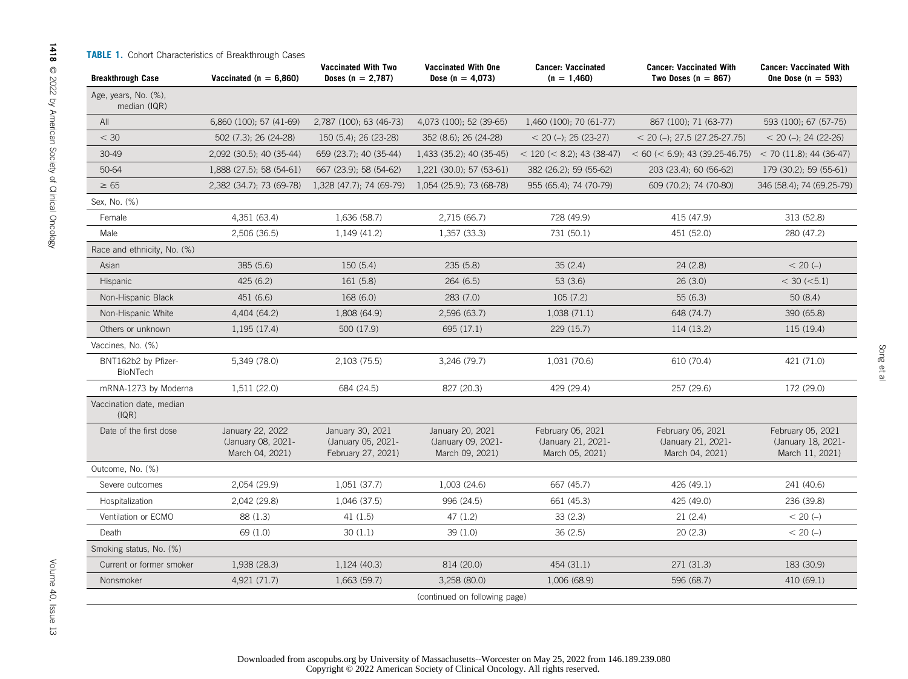|  |  |  | <b>TABLE 1.</b> Cohort Characteristics of Breakthrough Cases |  |  |  |
|--|--|--|--------------------------------------------------------------|--|--|--|
|--|--|--|--------------------------------------------------------------|--|--|--|

<span id="page-5-0"></span>

| <b>Breakthrough Case</b>             | Vaccinated ( $n = 6.860$ )                                | Vaccinated With Two<br>Doses $(n = 2.787)$                   | Vaccinated With One<br>Dose (n = $4,073$ )                | <b>Cancer: Vaccinated</b><br>$(n = 1,460)$                 | <b>Cancer: Vaccinated With</b><br>Two Doses ( $n = 867$ )         | <b>Cancer: Vaccinated With</b><br>One Dose $(n = 593)$     |
|--------------------------------------|-----------------------------------------------------------|--------------------------------------------------------------|-----------------------------------------------------------|------------------------------------------------------------|-------------------------------------------------------------------|------------------------------------------------------------|
| Age, years, No. (%),<br>median (IQR) |                                                           |                                                              |                                                           |                                                            |                                                                   |                                                            |
| All                                  | 6,860 (100); 57 (41-69)                                   | 2,787 (100); 63 (46-73)                                      | 4,073 (100); 52 (39-65)                                   | 1,460 (100); 70 (61-77)                                    | 867 (100); 71 (63-77)                                             | 593 (100); 67 (57-75)                                      |
| $<$ 30                               | 502 (7.3); 26 (24-28)                                     | 150 (5.4); 26 (23-28)                                        | 352 (8.6); 26 (24-28)                                     | $<$ 20 (-); 25 (23-27)                                     | $<$ 20 (-); 27.5 (27.25-27.75)                                    | $<$ 20 (-); 24 (22-26)                                     |
| 30-49                                | 2,092 (30.5); 40 (35-44)                                  | 659 (23.7); 40 (35-44)                                       | 1,433 (35.2); 40 (35-45)                                  | $<$ 120 ( $<$ 8.2); 43 (38-47)                             | $< 60 \ ( < 6.9); 43 \ (39.25-46.75) < 70 \ (11.8); 44 \ (36-47)$ |                                                            |
| 50-64                                | 1,888 (27.5); 58 (54-61)                                  | 667 (23.9); 58 (54-62)                                       | 1,221 (30.0); 57 (53-61)                                  | 382 (26.2); 59 (55-62)                                     | 203 (23.4); 60 (56-62)                                            | 179 (30.2); 59 (55-61)                                     |
| $\geq 65$                            | 2,382 (34.7); 73 (69-78)                                  | 1,328 (47.7); 74 (69-79)                                     | 1,054 (25.9); 73 (68-78)                                  | 955 (65.4); 74 (70-79)                                     | 609 (70.2); 74 (70-80)                                            | 346 (58.4); 74 (69.25-79)                                  |
| Sex, No. (%)                         |                                                           |                                                              |                                                           |                                                            |                                                                   |                                                            |
| Female                               | 4,351 (63.4)                                              | 1,636 (58.7)                                                 | 2,715 (66.7)                                              | 728 (49.9)                                                 | 415 (47.9)                                                        | 313 (52.8)                                                 |
| Male                                 | 2,506(36.5)                                               | 1,149 (41.2)                                                 | 1,357 (33.3)                                              | 731 (50.1)                                                 | 451 (52.0)                                                        | 280 (47.2)                                                 |
| Race and ethnicity, No. (%)          |                                                           |                                                              |                                                           |                                                            |                                                                   |                                                            |
| Asian                                | 385 (5.6)                                                 | 150 (5.4)                                                    | 235(5.8)                                                  | 35(2.4)                                                    | 24(2.8)                                                           | $< 20 (-)$                                                 |
| Hispanic                             | 425 (6.2)                                                 | 161 (5.8)                                                    | 264(6.5)                                                  | 53(3.6)                                                    | 26(3.0)                                                           | $<$ 30 ( $<$ 5.1)                                          |
| Non-Hispanic Black                   | 451 (6.6)                                                 | 168 (6.0)                                                    | 283(7.0)                                                  | 105(7.2)                                                   | 55(6.3)                                                           | 50(8.4)                                                    |
| Non-Hispanic White                   | 4,404 (64.2)                                              | 1,808 (64.9)                                                 | 2,596 (63.7)                                              | 1,038(71.1)                                                | 648 (74.7)                                                        | 390 (65.8)                                                 |
| Others or unknown                    | 1,195(17.4)                                               | 500 (17.9)                                                   | 695 (17.1)                                                | 229 (15.7)                                                 | 114 (13.2)                                                        | 115 (19.4)                                                 |
| Vaccines, No. (%)                    |                                                           |                                                              |                                                           |                                                            |                                                                   |                                                            |
| BNT162b2 by Pfizer-<br>BioNTech      | 5,349 (78.0)                                              | 2,103 (75.5)                                                 | 3,246 (79.7)                                              | 1,031 (70.6)                                               | 610 (70.4)                                                        | 421 (71.0)                                                 |
| mRNA-1273 by Moderna                 | 1,511 (22.0)                                              | 684 (24.5)                                                   | 827 (20.3)                                                | 429 (29.4)                                                 | 257 (29.6)                                                        | 172 (29.0)                                                 |
| Vaccination date, median<br>(IQR)    |                                                           |                                                              |                                                           |                                                            |                                                                   |                                                            |
| Date of the first dose               | January 22, 2022<br>(January 08, 2021-<br>March 04, 2021) | January 30, 2021<br>(January 05, 2021-<br>February 27, 2021) | January 20, 2021<br>(January 09, 2021-<br>March 09, 2021) | February 05, 2021<br>(January 21, 2021-<br>March 05, 2021) | February 05, 2021<br>(January 21, 2021-<br>March 04, 2021)        | February 05, 2021<br>(January 18, 2021-<br>March 11, 2021) |
| Outcome, No. (%)                     |                                                           |                                                              |                                                           |                                                            |                                                                   |                                                            |
| Severe outcomes                      | 2,054 (29.9)                                              | 1,051 (37.7)                                                 | 1,003 (24.6)                                              | 667 (45.7)                                                 | 426 (49.1)                                                        | 241 (40.6)                                                 |
| Hospitalization                      | 2,042 (29.8)                                              | 1,046 (37.5)                                                 | 996 (24.5)                                                | 661 (45.3)                                                 | 425 (49.0)                                                        | 236 (39.8)                                                 |
| Ventilation or ECMO                  | 88 (1.3)                                                  | 41(1.5)                                                      | 47 (1.2)                                                  | 33(2.3)                                                    | 21(2.4)                                                           | $< 20 (-)$                                                 |
| Death                                | 69 (1.0)                                                  | 30(1.1)                                                      | 39 (1.0)                                                  | 36(2.5)                                                    | 20(2.3)                                                           | $< 20 (-)$                                                 |
| Smoking status, No. (%)              |                                                           |                                                              |                                                           |                                                            |                                                                   |                                                            |
| Current or former smoker             | 1,938 (28.3)                                              | 1,124 (40.3)                                                 | 814 (20.0)                                                | 454 (31.1)                                                 | 271 (31.3)                                                        | 183 (30.9)                                                 |
| Nonsmoker                            | 4,921 (71.7)                                              | 1,663 (59.7)                                                 | 3,258 (80.0)                                              | 1,006 (68.9)                                               | 596 (68.7)                                                        | 410 (69.1)                                                 |
|                                      |                                                           |                                                              | (continued on following page)                             |                                                            |                                                                   |                                                            |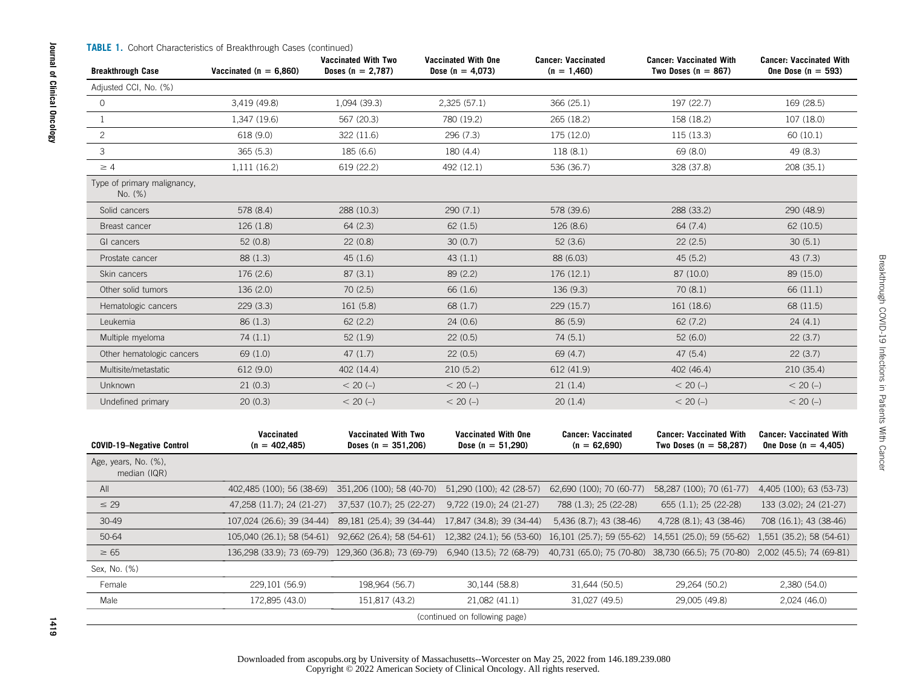| <b>Breakthrough Case</b>               | Vaccinated With Two<br><b>Vaccinated With One</b><br>Vaccinated ( $n = 6.860$ )<br>Dose (n = $4,073$ )<br>Doses ( $n = 2,787$ ) |                                                                                      | <b>Cancer: Vaccinated</b><br>$(n = 1,460)$   | <b>Cancer: Vaccinated With</b><br>Two Doses $(n = 867)$ | <b>Cancer: Vaccinated With</b><br>One Dose $(n = 593)$                       |                                                            |
|----------------------------------------|---------------------------------------------------------------------------------------------------------------------------------|--------------------------------------------------------------------------------------|----------------------------------------------|---------------------------------------------------------|------------------------------------------------------------------------------|------------------------------------------------------------|
| Adjusted CCI, No. (%)                  |                                                                                                                                 |                                                                                      |                                              |                                                         |                                                                              |                                                            |
| $\circ$                                | 3,419 (49.8)                                                                                                                    | 1,094 (39.3)                                                                         | 2,325(57.1)                                  | 366 (25.1)                                              | 197 (22.7)                                                                   | 169 (28.5)                                                 |
| 1                                      | 1,347 (19.6)                                                                                                                    | 567 (20.3)                                                                           | 780 (19.2)                                   | 265 (18.2)                                              | 158 (18.2)                                                                   | 107 (18.0)                                                 |
| $\overline{c}$                         | 618 (9.0)                                                                                                                       | 322 (11.6)                                                                           | 296 (7.3)                                    | 175 (12.0)                                              | 115(13.3)                                                                    | 60 (10.1)                                                  |
| 3                                      | 365(5.3)                                                                                                                        | 185 (6.6)                                                                            | 180 (4.4)                                    | 118(8.1)                                                | 69 (8.0)                                                                     | 49 (8.3)                                                   |
| $\geq 4$                               | 1,111 (16.2)                                                                                                                    | 619 (22.2)                                                                           | 492 (12.1)                                   | 536 (36.7)                                              | 328 (37.8)                                                                   | 208 (35.1)                                                 |
| Type of primary malignancy,<br>No. (%) |                                                                                                                                 |                                                                                      |                                              |                                                         |                                                                              |                                                            |
| Solid cancers                          | 578 (8.4)                                                                                                                       | 288 (10.3)                                                                           | 290(7.1)                                     | 578 (39.6)                                              | 288 (33.2)                                                                   | 290 (48.9)                                                 |
| Breast cancer                          | 126(1.8)                                                                                                                        | 64(2.3)                                                                              | 62(1.5)                                      | 126 (8.6)                                               | 64 (7.4)                                                                     | 62 (10.5)                                                  |
| GI cancers                             | 52(0.8)                                                                                                                         | 22(0.8)                                                                              | 30(0.7)                                      | 52(3.6)                                                 | 22(2.5)                                                                      | 30(5.1)                                                    |
| Prostate cancer                        | 88 (1.3)                                                                                                                        | 45(1.6)                                                                              | 43(1.1)                                      | 88 (6.03)                                               | 45(5.2)                                                                      | 43(7.3)                                                    |
| Skin cancers                           | 176 (2.6)                                                                                                                       | 87(3.1)                                                                              | 89 (2.2)                                     | 176 (12.1)                                              | 87 (10.0)                                                                    | 89 (15.0)                                                  |
| Other solid tumors                     | 136 (2.0)                                                                                                                       | 70(2.5)                                                                              | 66 (1.6)                                     | 136(9.3)                                                |                                                                              | 66 (11.1)                                                  |
| Hematologic cancers                    | 229(3.3)                                                                                                                        | 161 (5.8)                                                                            | 68 (1.7)                                     | 229 (15.7)                                              | 161 (18.6)                                                                   | 68 (11.5)                                                  |
| Leukemia                               | 86(1.3)                                                                                                                         | 62(2.2)                                                                              | 24(0.6)                                      | 86 (5.9)                                                | 62(7.2)                                                                      | 24(4.1)                                                    |
| Multiple myeloma                       | 74(1.1)                                                                                                                         | 52(1.9)                                                                              | 22(0.5)                                      | 74 (5.1)                                                | 52(6.0)                                                                      | 22(3.7)                                                    |
| Other hematologic cancers              | 69 (1.0)                                                                                                                        | 47(1.7)                                                                              | 22(0.5)                                      | 69 (4.7)                                                | 47 (5.4)                                                                     | 22(3.7)                                                    |
| Multisite/metastatic                   | 612 (9.0)                                                                                                                       | 402 (14.4)                                                                           | 210(5.2)                                     | 612 (41.9)                                              | 402 (46.4)                                                                   | 210 (35.4)                                                 |
| Unknown                                | 21(0.3)                                                                                                                         | $< 20 (-)$                                                                           | $< 20 (-)$                                   | 21(1.4)                                                 | $< 20 (-)$                                                                   | $< 20 (-)$                                                 |
| Undefined primary                      | 20(0.3)                                                                                                                         | $< 20 (-)$                                                                           | $< 20 (-)$                                   | 20(1.4)                                                 | $< 20 (-)$                                                                   | $< 20 (-)$                                                 |
| <b>COVID-19-Negative Control</b>       | Vaccinated<br>$(n = 402, 485)$                                                                                                  | Vaccinated With Two<br>Doses ( $n = 351,206$ )                                       | Vaccinated With One<br>Dose ( $n = 51,290$ ) | <b>Cancer: Vaccinated</b><br>$(n = 62,690)$             | <b>Cancer: Vaccinated With</b><br>Two Doses ( $n = 58,287$ )                 | <b>Cancer: Vaccinated With</b><br>One Dose ( $n = 4,405$ ) |
| Age, years, No. (%),<br>median (IQR)   |                                                                                                                                 |                                                                                      |                                              |                                                         |                                                                              |                                                            |
| All                                    |                                                                                                                                 | 402,485 (100); 56 (38-69) 351,206 (100); 58 (40-70)                                  | 51,290 (100); 42 (28-57)                     | 62,690 (100); 70 (60-77)                                | 58,287 (100); 70 (61-77)                                                     | 4,405 (100); 63 (53-73)                                    |
| $\leq$ 29                              | 47,258 (11.7); 24 (21-27)                                                                                                       | 37,537 (10.7); 25 (22-27)                                                            | 9,722 (19.0); 24 (21-27)                     | 788 (1.3); 25 (22-28)                                   | 655 (1.1); 25 (22-28)                                                        | 133 (3.02); 24 (21-27)                                     |
| 30-49                                  |                                                                                                                                 | 107,024 (26.6); 39 (34-44) 89,181 (25.4); 39 (34-44)                                 | 17,847 (34.8), 39 (34-44)                    | 5,436 (8.7); 43 (38-46)                                 | 4,728 (8.1); 43 (38-46)                                                      | 708 (16.1); 43 (38-46)                                     |
| 50-64                                  |                                                                                                                                 | 105,040 (26.1); 58 (54-61) 92,662 (26.4); 58 (54-61) 12,382 (24.1); 56 (53-60)       |                                              | 16,101 (25.7); 59 (55-62)                               | 14,551 (25.0); 59 (55-62)                                                    | 1,551 (35.2); 58 (54-61)                                   |
| $\geq 65$                              |                                                                                                                                 | $136,298$ (33.9); 73 (69-79) $129,360$ (36.8); 73 (69-79) $6,940$ (13.5); 72 (68-79) |                                              |                                                         | 40,731 (65.0); 75 (70-80) 38,730 (66.5); 75 (70-80) 2,002 (45.5); 74 (69-81) |                                                            |
| Sex, No. (%)                           |                                                                                                                                 |                                                                                      |                                              |                                                         |                                                                              |                                                            |
| Female                                 | 229,101 (56.9)                                                                                                                  | 198,964 (56.7)                                                                       | 30,144 (58.8)                                | 31,644 (50.5)                                           | 29,264 (50.2)                                                                | 2,380 (54.0)                                               |

Male 172,895 (43.0) 151,817 (43.2) 21,082 (41.1) 31,027 (49.5) 29,005 (49.8) 2,024 (46.0) (continued on following page)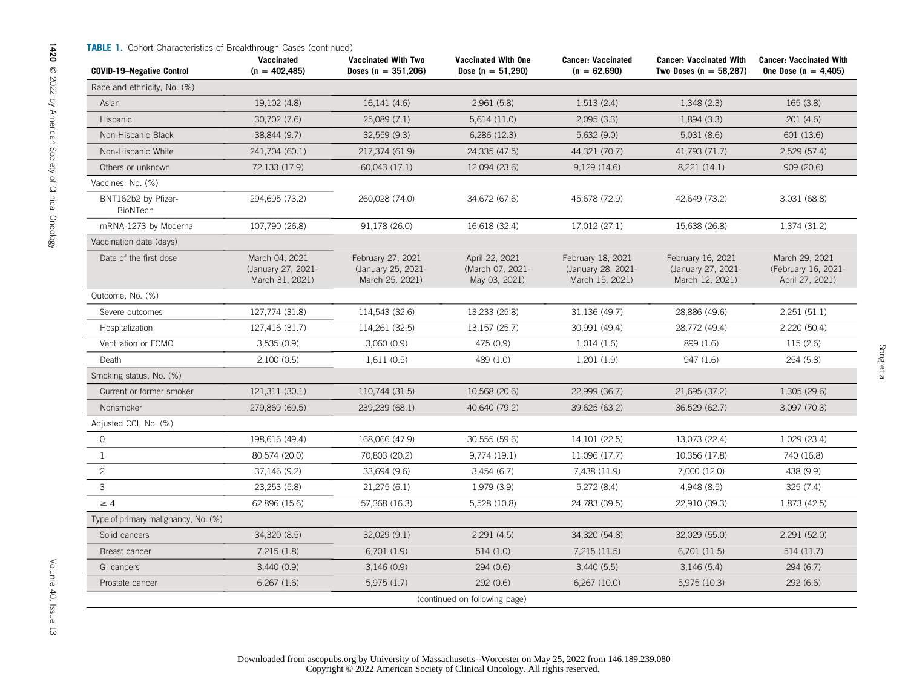| <b>TABLE 1.</b> Cohort Characteristics of Breakthrough Cases (continued)<br><b>COVID-19-Negative Control</b> | Vaccinated<br>$(n = 402, 485)$                          | <b>Vaccinated With Two</b><br>Doses ( $n = 351,206$ )      | <b>Vaccinated With One</b><br>Dose ( $n = 51,290$ ) | <b>Cancer: Vaccinated</b><br>$(n = 62,690)$                | <b>Cancer: Vaccinated With</b><br>Two Doses ( $n = 58,287$ ) | <b>Cancer: Vaccinated With</b><br>One Dose ( $n = 4,405$ ) |
|--------------------------------------------------------------------------------------------------------------|---------------------------------------------------------|------------------------------------------------------------|-----------------------------------------------------|------------------------------------------------------------|--------------------------------------------------------------|------------------------------------------------------------|
| Race and ethnicity, No. (%)                                                                                  |                                                         |                                                            |                                                     |                                                            |                                                              |                                                            |
| Asian                                                                                                        | 19,102 (4.8)                                            | 16,141 (4.6)                                               | 2,961(5.8)                                          | 1,513(2.4)                                                 | 1,348(2.3)                                                   | 165(3.8)                                                   |
| <b>Hispanic</b>                                                                                              | 30,702 (7.6)                                            | 25,089 (7.1)                                               | 5,614 (11.0)                                        | 2,095(3.3)                                                 | 1,894(3.3)                                                   | 201(4.6)                                                   |
| Non-Hispanic Black                                                                                           | 38,844 (9.7)                                            | 32,559 (9.3)                                               | 6,286 (12.3)                                        | 5,632(9.0)                                                 | 5,031(8.6)                                                   | 601 (13.6)                                                 |
| Non-Hispanic White                                                                                           | 241,704 (60.1)                                          | 217,374 (61.9)                                             | 24,335 (47.5)                                       | 44,321 (70.7)                                              | 41,793 (71.7)                                                | 2,529 (57.4)                                               |
| Others or unknown                                                                                            | 72,133 (17.9)                                           | 60,043 (17.1)                                              | 12,094 (23.6)                                       | 9,129 (14.6)                                               | 8,221 (14.1)                                                 | 909 (20.6)                                                 |
| Vaccines, No. (%)                                                                                            |                                                         |                                                            |                                                     |                                                            |                                                              |                                                            |
| BNT162b2 by Pfizer-<br>BioNTech                                                                              | 294,695 (73.2)                                          | 260,028 (74.0)                                             | 34,672 (67.6)                                       | 45,678 (72.9)                                              | 42,649 (73.2)                                                | 3,031 (68.8)                                               |
| mRNA-1273 by Moderna                                                                                         | 107,790 (26.8)                                          | 91,178 (26.0)                                              | 16,618 (32.4)                                       | 17,012 (27.1)                                              | 15,638 (26.8)                                                | 1,374 (31.2)                                               |
| Vaccination date (days)                                                                                      |                                                         |                                                            |                                                     |                                                            |                                                              |                                                            |
| Date of the first dose                                                                                       | March 04, 2021<br>(January 27, 2021-<br>March 31, 2021) | February 27, 2021<br>(January 25, 2021-<br>March 25, 2021) | April 22, 2021<br>(March 07, 2021-<br>May 03, 2021) | February 18, 2021<br>(January 28, 2021-<br>March 15, 2021) | February 16, 2021<br>(January 27, 2021-<br>March 12, 2021)   | March 29, 2021<br>(February 16, 2021-<br>April 27, 2021)   |
| Outcome, No. (%)                                                                                             |                                                         |                                                            |                                                     |                                                            |                                                              |                                                            |
| Severe outcomes                                                                                              | 127,774 (31.8)                                          | 114,543 (32.6)                                             | 13,233 (25.8)                                       | 31,136 (49.7)                                              | 28,886 (49.6)                                                | 2,251(51.1)                                                |
| Hospitalization                                                                                              | 127,416 (31.7)                                          | 114,261 (32.5)                                             | 13,157 (25.7)                                       | 30,991 (49.4)                                              | 28,772 (49.4)                                                | 2,220 (50.4)                                               |
| Ventilation or ECMO                                                                                          | 3,535(0.9)                                              | 3,060 (0.9)                                                | 475 (0.9)                                           | 1,014(1.6)                                                 | 899 (1.6)                                                    | 115(2.6)                                                   |
| Death                                                                                                        | 2,100(0.5)                                              | 1,611 (0.5)                                                | 489 (1.0)                                           | 1,201(1.9)                                                 | 947 (1.6)                                                    | 254 (5.8)                                                  |
| Smoking status, No. (%)                                                                                      |                                                         |                                                            |                                                     |                                                            |                                                              |                                                            |
| Current or former smoker                                                                                     | 121,311 (30.1)                                          | 110,744 (31.5)                                             | 10,568 (20.6)                                       | 22,999 (36.7)                                              | 21,695 (37.2)                                                | 1,305 (29.6)                                               |
| Nonsmoker                                                                                                    | 279,869 (69.5)                                          | 239,239 (68.1)                                             | 40,640 (79.2)                                       | 39,625 (63.2)                                              | 36,529 (62.7)                                                | 3,097 (70.3)                                               |
| Adjusted CCI, No. (%)                                                                                        |                                                         |                                                            |                                                     |                                                            |                                                              |                                                            |
| $\mathbf{0}$                                                                                                 | 198,616 (49.4)                                          | 168,066 (47.9)                                             | 30,555 (59.6)                                       | 14,101 (22.5)                                              | 13,073 (22.4)                                                | 1,029 (23.4)                                               |
| $\mathbf{1}$                                                                                                 | 80,574 (20.0)                                           | 70,803 (20.2)                                              | 9,774 (19.1)                                        | 11,096 (17.7)                                              | 10,356 (17.8)                                                | 740 (16.8)                                                 |
| $\overline{2}$                                                                                               | 37,146 (9.2)                                            | 33,694 (9.6)                                               | 3,454(6.7)                                          | 7,438 (11.9)                                               | 7,000 (12.0)                                                 | 438 (9.9)                                                  |
| $\ensuremath{\mathsf{3}}$                                                                                    | 23,253 (5.8)                                            | 21,275 (6.1)                                               | 1,979 (3.9)                                         | 5,272 (8.4)                                                | 4,948 (8.5)                                                  | 325(7.4)                                                   |
| $\geq 4$                                                                                                     | 62,896 (15.6)                                           | 57,368 (16.3)                                              | 5,528 (10.8)                                        | 24,783 (39.5)                                              | 22,910 (39.3)                                                | 1,873 (42.5)                                               |
| Type of primary malignancy, No. (%)                                                                          |                                                         |                                                            |                                                     |                                                            |                                                              |                                                            |
| Solid cancers                                                                                                | 34,320 (8.5)                                            | 32,029 (9.1)                                               | 2,291(4.5)                                          | 34,320 (54.8)                                              | 32,029 (55.0)                                                | 2,291 (52.0)                                               |
| Breast cancer                                                                                                | 7,215(1.8)                                              | 6,701 (1.9)                                                | 514(1.0)                                            | 7,215 (11.5)                                               | 6,701 (11.5)                                                 | 514 (11.7)                                                 |
| GI cancers                                                                                                   | 3,440(0.9)                                              | 3,146(0.9)                                                 | 294 (0.6)                                           | 3,440(5.5)                                                 | 3,146(5.4)                                                   | 294(6.7)                                                   |
| Prostate cancer                                                                                              | 6,267(1.6)                                              | 5,975(1.7)                                                 | 292 (0.6)                                           | 6,267 (10.0)                                               | 5,975 (10.3)                                                 | 292 (6.6)                                                  |
|                                                                                                              |                                                         |                                                            | (continued on following page)                       |                                                            |                                                              |                                                            |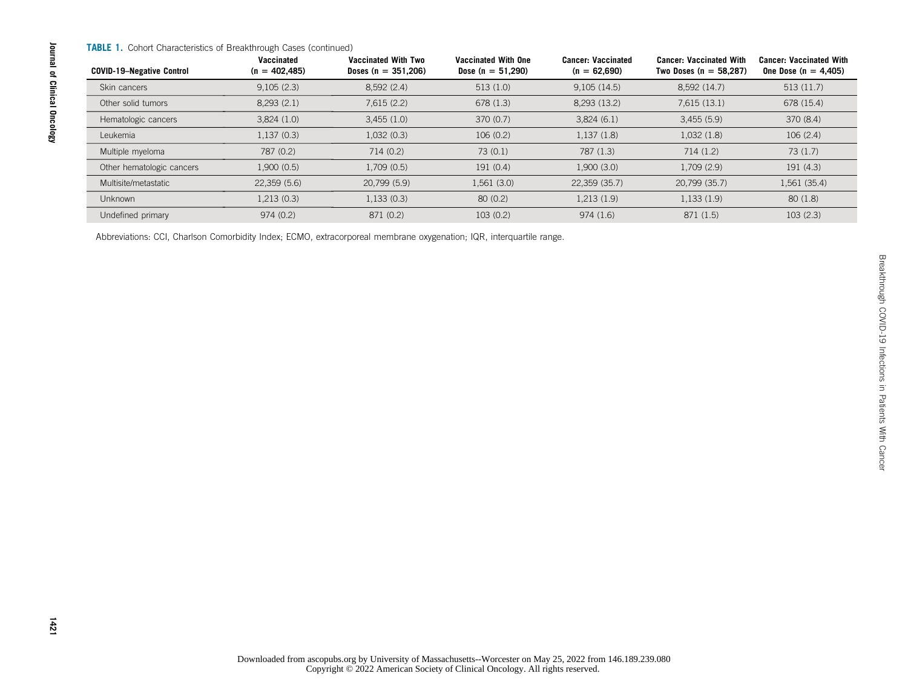#### TABLE 1. Cohort Characteristics of Breakthrough Cases (continued)

| <b>COVID-19-Negative Control</b> | Vaccinated<br>$(n = 402, 485)$ | Vaccinated With Two<br>Doses ( $n = 351,206$ ) | <b>Vaccinated With One</b><br>Dose (n = $51,290$ ) | <b>Cancer: Vaccinated</b><br>$(n = 62,690)$ | <b>Cancer: Vaccinated With</b><br>Two Doses ( $n = 58,287$ ) | <b>Cancer: Vaccinated With</b><br>One Dose ( $n = 4,405$ ) |
|----------------------------------|--------------------------------|------------------------------------------------|----------------------------------------------------|---------------------------------------------|--------------------------------------------------------------|------------------------------------------------------------|
| Skin cancers                     | 9,105(2.3)                     | 8,592(2.4)                                     | 513(1.0)                                           | 9,105(14.5)                                 | 8,592 (14.7)                                                 | 513(11.7)                                                  |
| Other solid tumors               | 8,293(2.1)                     | 7,615(2.2)                                     | 678(1.3)                                           | 8,293 (13.2)                                | 7,615(13.1)                                                  | 678 (15.4)                                                 |
| Hematologic cancers              | 3,824(1.0)                     | 3,455(1.0)                                     | 370(0.7)                                           | 3,824(6.1)                                  | 3,455(5.9)                                                   | 370 (8.4)                                                  |
| Leukemia                         | 1,137(0.3)                     | 1,032(0.3)                                     | 106(0.2)                                           | 1,137(1.8)                                  | 1,032(1.8)                                                   | 106(2.4)                                                   |
| Multiple myeloma                 | 787 (0.2)                      | 714 (0.2)                                      | 73(0.1)                                            | 787 (1.3)                                   | 714(1.2)                                                     | 73(1.7)                                                    |
| Other hematologic cancers        | 1,900(0.5)                     | 1,709 (0.5)                                    | 191(0.4)                                           | 1,900(3.0)                                  | 1,709 (2.9)                                                  | 191(4.3)                                                   |
| Multisite/metastatic             | 22,359(5.6)                    | 20.799 (5.9)                                   | 1,561 (3.0)                                        | 22.359 (35.7)                               | 20.799 (35.7)                                                | 1,561 (35.4)                                               |
| <b>Unknown</b>                   | 1,213(0.3)                     | 1,133(0.3)                                     | 80(0.2)                                            | 1,213 (1.9)                                 | 1,133(1.9)                                                   | 80(1.8)                                                    |
| Undefined primary                | 974 (0.2)                      | 871 (0.2)                                      | 103(0.2)                                           | 974(1.6)                                    | 871 (1.5)                                                    | 103(2.3)                                                   |

Abbreviations: CCI, Charlson Comorbidity Index; ECMO, extracorporeal membrane oxygenation; IQR, interquartile range.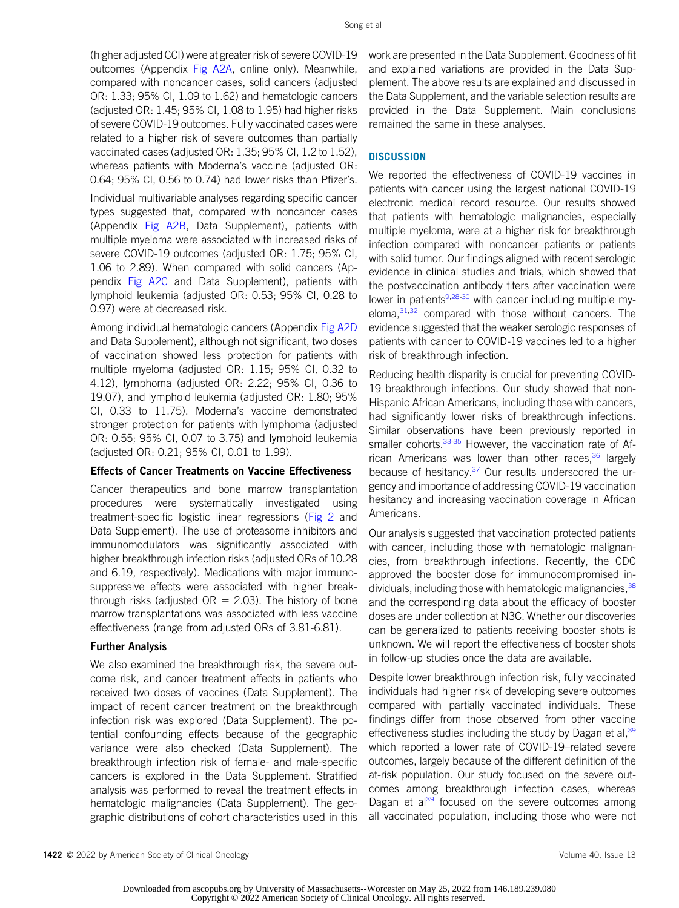(higher adjusted CCI) were at greater risk of severe COVID-19 outcomes (Appendix [Fig A2A,](#page-18-0) online only). Meanwhile, compared with noncancer cases, solid cancers (adjusted OR: 1.33; 95% CI, 1.09 to 1.62) and hematologic cancers (adjusted OR: 1.45; 95% CI, 1.08 to 1.95) had higher risks of severe COVID-19 outcomes. Fully vaccinated cases were related to a higher risk of severe outcomes than partially vaccinated cases (adjusted OR: 1.35; 95% CI, 1.2 to 1.52), whereas patients with Moderna's vaccine (adjusted OR: 0.64; 95% CI, 0.56 to 0.74) had lower risks than Pfizer's.

Individual multivariable analyses regarding specific cancer types suggested that, compared with noncancer cases (Appendix [Fig A2B](#page-18-0), Data Supplement), patients with multiple myeloma were associated with increased risks of severe COVID-19 outcomes (adjusted OR: 1.75; 95% CI, 1.06 to 2.89). When compared with solid cancers (Appendix [Fig A2C](#page-18-0) and Data Supplement), patients with lymphoid leukemia (adjusted OR: 0.53; 95% CI, 0.28 to 0.97) were at decreased risk.

Among individual hematologic cancers (Appendix [Fig A2D](#page-18-0) and Data Supplement), although not significant, two doses of vaccination showed less protection for patients with multiple myeloma (adjusted OR: 1.15; 95% CI, 0.32 to 4.12), lymphoma (adjusted OR: 2.22; 95% CI, 0.36 to 19.07), and lymphoid leukemia (adjusted OR: 1.80; 95% CI, 0.33 to 11.75). Moderna's vaccine demonstrated stronger protection for patients with lymphoma (adjusted OR: 0.55; 95% CI, 0.07 to 3.75) and lymphoid leukemia (adjusted OR: 0.21; 95% CI, 0.01 to 1.99).

#### Effects of Cancer Treatments on Vaccine Effectiveness

Cancer therapeutics and bone marrow transplantation procedures were systematically investigated using treatment-specific logistic linear regressions ([Fig 2](#page-10-0) and Data Supplement). The use of proteasome inhibitors and immunomodulators was significantly associated with higher breakthrough infection risks (adjusted ORs of 10.28 and 6.19, respectively). Medications with major immunosuppressive effects were associated with higher breakthrough risks (adjusted  $OR = 2.03$ ). The history of bone marrow transplantations was associated with less vaccine effectiveness (range from adjusted ORs of 3.81-6.81).

#### Further Analysis

We also examined the breakthrough risk, the severe outcome risk, and cancer treatment effects in patients who received two doses of vaccines (Data Supplement). The impact of recent cancer treatment on the breakthrough infection risk was explored (Data Supplement). The potential confounding effects because of the geographic variance were also checked (Data Supplement). The breakthrough infection risk of female- and male-specific cancers is explored in the Data Supplement. Stratified analysis was performed to reveal the treatment effects in hematologic malignancies (Data Supplement). The geographic distributions of cohort characteristics used in this work are presented in the Data Supplement. Goodness of fit and explained variations are provided in the Data Supplement. The above results are explained and discussed in the Data Supplement, and the variable selection results are provided in the Data Supplement. Main conclusions remained the same in these analyses.

# **DISCUSSION**

We reported the effectiveness of COVID-19 vaccines in patients with cancer using the largest national COVID-19 electronic medical record resource. Our results showed that patients with hematologic malignancies, especially multiple myeloma, were at a higher risk for breakthrough infection compared with noncancer patients or patients with solid tumor. Our findings aligned with recent serologic evidence in clinical studies and trials, which showed that the postvaccination antibody titers after vaccination were lower in patients $9,28-30$  $9,28-30$  $9,28-30$  with cancer including multiple myeloma, $31,32$  $31,32$  compared with those without cancers. The evidence suggested that the weaker serologic responses of patients with cancer to COVID-19 vaccines led to a higher risk of breakthrough infection.

Reducing health disparity is crucial for preventing COVID-19 breakthrough infections. Our study showed that non-Hispanic African Americans, including those with cancers, had significantly lower risks of breakthrough infections. Similar observations have been previously reported in smaller cohorts.<sup>[33-](#page-14-7)[35](#page-14-8)</sup> However, the vaccination rate of Af-rican Americans was lower than other races,<sup>[36](#page-14-9)</sup> largely because of hesitancy.[37](#page-14-10) Our results underscored the urgency and importance of addressing COVID-19 vaccination hesitancy and increasing vaccination coverage in African Americans.

Our analysis suggested that vaccination protected patients with cancer, including those with hematologic malignancies, from breakthrough infections. Recently, the CDC approved the booster dose for immunocompromised individuals, including those with hematologic malignancies,<sup>38</sup> and the corresponding data about the efficacy of booster doses are under collection at N3C. Whether our discoveries can be generalized to patients receiving booster shots is unknown. We will report the effectiveness of booster shots in follow-up studies once the data are available.

Despite lower breakthrough infection risk, fully vaccinated individuals had higher risk of developing severe outcomes compared with partially vaccinated individuals. These findings differ from those observed from other vaccine effectiveness studies including the study by Dagan et al,  $39$ which reported a lower rate of COVID-19–related severe outcomes, largely because of the different definition of the at-risk population. Our study focused on the severe outcomes among breakthrough infection cases, whereas Dagan et al $^{39}$  $^{39}$  $^{39}$  focused on the severe outcomes among all vaccinated population, including those who were not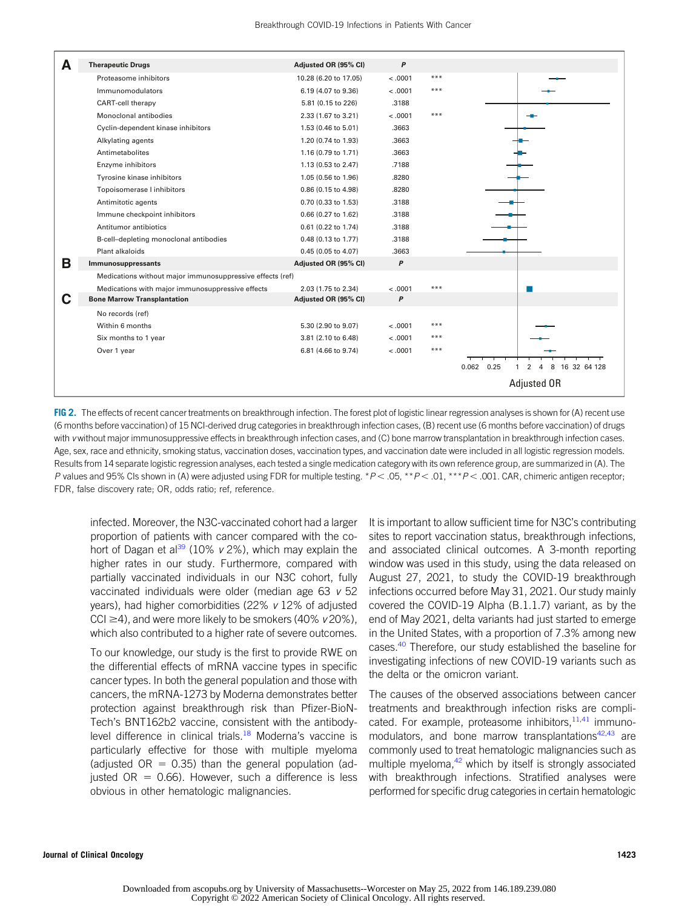| A | <b>Therapeutic Drugs</b>                                  | Adjusted OR (95% CI)  | P       |       |                                             |
|---|-----------------------------------------------------------|-----------------------|---------|-------|---------------------------------------------|
|   | Proteasome inhibitors                                     | 10.28 (6.20 to 17.05) | < .0001 | $***$ |                                             |
|   | Immunomodulators                                          | 6.19 (4.07 to 9.36)   | < .0001 | $***$ |                                             |
|   | <b>CART-cell therapy</b>                                  | 5.81 (0.15 to 226)    | .3188   |       |                                             |
|   | Monoclonal antibodies                                     | 2.33 (1.67 to 3.21)   | < .0001 | $***$ |                                             |
|   | Cyclin-dependent kinase inhibitors                        | 1.53 (0.46 to 5.01)   | .3663   |       |                                             |
|   | Alkylating agents                                         | 1.20 (0.74 to 1.93)   | .3663   |       |                                             |
|   | Antimetabolites                                           | 1.16 (0.79 to 1.71)   | .3663   |       |                                             |
|   | Enzyme inhibitors                                         | 1.13 (0.53 to 2.47)   | .7188   |       |                                             |
|   | Tyrosine kinase inhibitors                                | 1.05 (0.56 to 1.96)   | .8280   |       |                                             |
|   | Topoisomerase I inhibitors                                | 0.86 (0.15 to 4.98)   | .8280   |       |                                             |
|   | Antimitotic agents                                        | 0.70 (0.33 to 1.53)   | .3188   |       |                                             |
|   | Immune checkpoint inhibitors                              | 0.66 (0.27 to 1.62)   | .3188   |       |                                             |
|   | Antitumor antibiotics                                     | 0.61 (0.22 to 1.74)   | .3188   |       |                                             |
|   | B-cell-depleting monoclonal antibodies                    | 0.48 (0.13 to 1.77)   | .3188   |       |                                             |
|   | Plant alkaloids                                           | 0.45 (0.05 to 4.07)   | .3663   |       |                                             |
| В | Immunosuppressants                                        | Adjusted OR (95% CI)  | P       |       |                                             |
|   | Medications without major immunosuppressive effects (ref) |                       |         |       |                                             |
|   | Medications with major immunosuppressive effects          | 2.03 (1.75 to 2.34)   | < .0001 | $***$ |                                             |
| С | <b>Bone Marrow Transplantation</b>                        | Adjusted OR (95% CI)  | P       |       |                                             |
|   | No records (ref)                                          |                       |         |       |                                             |
|   | Within 6 months                                           | 5.30 (2.90 to 9.07)   | < .0001 | $***$ |                                             |
|   | Six months to 1 year                                      | 3.81 (2.10 to 6.48)   | < .0001 | ***   |                                             |
|   | Over 1 year                                               | 6.81 (4.66 to 9.74)   | < .0001 | $***$ |                                             |
|   |                                                           |                       |         |       | $0.062$ 0.25<br>8<br>16 32 64 128<br>2<br>4 |
|   |                                                           |                       |         |       | Adjusted OR                                 |

<span id="page-10-0"></span>FIG 2. The effects of recent cancer treatments on breakthrough infection. The forest plot of logistic linear regression analyses is shown for (A) recent use (6 months before vaccination) of 15 NCI-derived drug categories in breakthrough infection cases, (B) recent use (6 months before vaccination) of drugs with v without major immunosuppressive effects in breakthrough infection cases, and (C) bone marrow transplantation in breakthrough infection cases. Age, sex, race and ethnicity, smoking status, vaccination doses, vaccination types, and vaccination date were included in all logistic regression models. Results from 14 separate logistic regression analyses, each tested a single medication category with its own reference group, are summarized in (A). The P values and 95% CIs shown in (A) were adjusted using FDR for multiple testing. \* $P < .05$ , \*\* $P < .01$ , \*\*\* $P < .001$ . CAR, chimeric antigen receptor; FDR, false discovery rate; OR, odds ratio; ref, reference.

infected. Moreover, the N3C-vaccinated cohort had a larger proportion of patients with cancer compared with the co-hort of Dagan et al<sup>[39](#page-14-12)</sup> (10%  $\nu$  2%), which may explain the higher rates in our study. Furthermore, compared with partially vaccinated individuals in our N3C cohort, fully vaccinated individuals were older (median age 63 v 52 years), had higher comorbidities (22%  $v$  12% of adjusted CCI  $\geq$ 4), and were more likely to be smokers (40% v 20%), which also contributed to a higher rate of severe outcomes.

To our knowledge, our study is the first to provide RWE on the differential effects of mRNA vaccine types in specific cancer types. In both the general population and those with cancers, the mRNA-1273 by Moderna demonstrates better protection against breakthrough risk than Pfizer-BioN-Tech's BNT162b2 vaccine, consistent with the antibodylevel difference in clinical trials.<sup>18</sup> Moderna's vaccine is particularly effective for those with multiple myeloma (adjusted  $OR = 0.35$ ) than the general population (adjusted  $OR = 0.66$ ). However, such a difference is less obvious in other hematologic malignancies.

It is important to allow sufficient time for N3C's contributing sites to report vaccination status, breakthrough infections, and associated clinical outcomes. A 3-month reporting window was used in this study, using the data released on August 27, 2021, to study the COVID-19 breakthrough infections occurred before May 31, 2021. Our study mainly covered the COVID-19 Alpha (B.1.1.7) variant, as by the end of May 2021, delta variants had just started to emerge in the United States, with a proportion of 7.3% among new cases.<sup>[40](#page-14-13)</sup> Therefore, our study established the baseline for investigating infections of new COVID-19 variants such as the delta or the omicron variant.

The causes of the observed associations between cancer treatments and breakthrough infection risks are complicated. For example, proteasome inhibitors, $11,41$  $11,41$  immunomodulators, and bone marrow transplantations $42,43$  $42,43$  are commonly used to treat hematologic malignancies such as multiple myeloma, $42$  which by itself is strongly associated with breakthrough infections. Stratified analyses were performed for specific drug categories in certain hematologic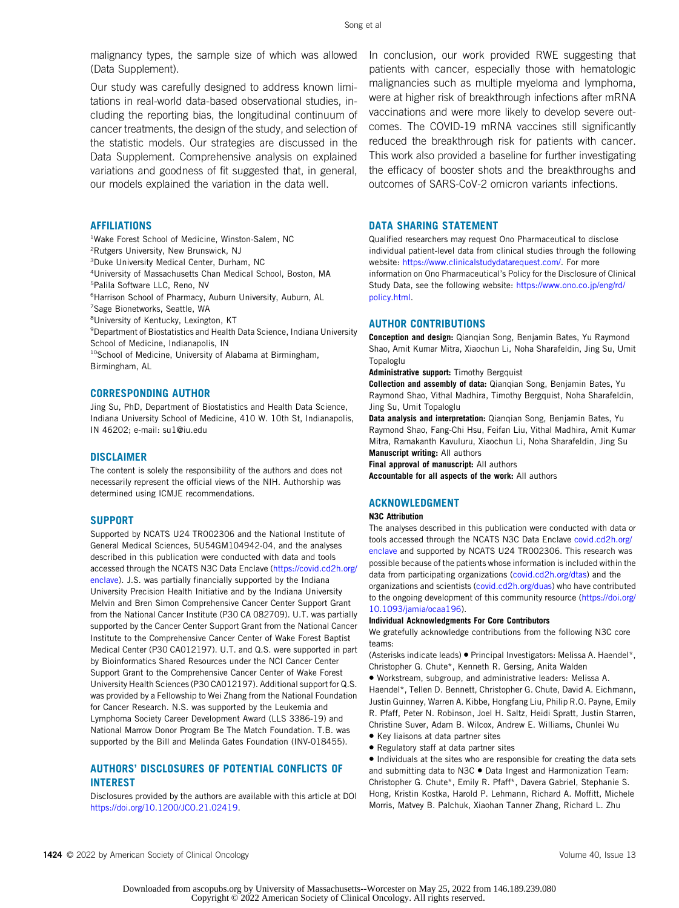malignancy types, the sample size of which was allowed (Data Supplement).

Our study was carefully designed to address known limitations in real-world data-based observational studies, including the reporting bias, the longitudinal continuum of cancer treatments, the design of the study, and selection of the statistic models. Our strategies are discussed in the Data Supplement. Comprehensive analysis on explained variations and goodness of fit suggested that, in general, our models explained the variation in the data well.

#### AFFILIATIONS

- <sup>1</sup>Wake Forest School of Medicine, Winston-Salem, NC
- 2 Rutgers University, New Brunswick, NJ
- 3 Duke University Medical Center, Durham, NC
- 4 University of Massachusetts Chan Medical School, Boston, MA 5 Palila Software LLC, Reno, NV
- 6 Harrison School of Pharmacy, Auburn University, Auburn, AL
- 7 Sage Bionetworks, Seattle, WA
- 8 University of Kentucky, Lexington, KT
- 9 Department of Biostatistics and Health Data Science, Indiana University School of Medicine, Indianapolis, IN
- <sup>10</sup>School of Medicine, University of Alabama at Birmingham, Birmingham, AL

#### CORRESPONDING AUTHOR

Jing Su, PhD, Department of Biostatistics and Health Data Science, Indiana University School of Medicine, 410 W. 10th St, Indianapolis, IN 46202; e-mail: [su1@iu.edu](mailto:su1@iu.edu)

#### DISCLAIMER

The content is solely the responsibility of the authors and does not necessarily represent the official views of the NIH. Authorship was determined using ICMJE recommendations.

#### SUPPORT

Supported by NCATS U24 TR002306 and the National Institute of General Medical Sciences, 5U54GM104942-04, and the analyses described in this publication were conducted with data and tools accessed through the NCATS N3C Data Enclave [\(https://covid.cd2h.org/](https://covid.cd2h.org/enclave) [enclave](https://covid.cd2h.org/enclave)). J.S. was partially financially supported by the Indiana University Precision Health Initiative and by the Indiana University Melvin and Bren Simon Comprehensive Cancer Center Support Grant from the National Cancer Institute (P30 CA 082709). U.T. was partially supported by the Cancer Center Support Grant from the National Cancer Institute to the Comprehensive Cancer Center of Wake Forest Baptist Medical Center (P30 CA012197). U.T. and Q.S. were supported in part by Bioinformatics Shared Resources under the NCI Cancer Center Support Grant to the Comprehensive Cancer Center of Wake Forest University Health Sciences (P30 CA012197). Additional support for Q.S. was provided by a Fellowship to Wei Zhang from the National Foundation for Cancer Research. N.S. was supported by the Leukemia and Lymphoma Society Career Development Award (LLS 3386-19) and National Marrow Donor Program Be The Match Foundation. T.B. was supported by the Bill and Melinda Gates Foundation (INV-018455).

#### AUTHORS' DISCLOSURES OF POTENTIAL CONFLICTS OF INTEREST

Disclosures provided by the authors are available with this article at DOI [https://doi.org/10.1200/JCO.21.02419.](https://ascopubs.org/doi/full/10.1200/jco.21.02419)

In conclusion, our work provided RWE suggesting that patients with cancer, especially those with hematologic malignancies such as multiple myeloma and lymphoma, were at higher risk of breakthrough infections after mRNA vaccinations and were more likely to develop severe outcomes. The COVID-19 mRNA vaccines still significantly reduced the breakthrough risk for patients with cancer. This work also provided a baseline for further investigating the efficacy of booster shots and the breakthroughs and outcomes of SARS-CoV-2 omicron variants infections.

#### DATA SHARING STATEMENT

Qualified researchers may request Ono Pharmaceutical to disclose individual patient-level data from clinical studies through the following website: <https://www.clinicalstudydatarequest.com/>. For more information on Ono Pharmaceutical's Policy for the Disclosure of Clinical Study Data, see the following website: [https://www.ono.co.jp/eng/rd/](https://www.ono.co.jp/eng/rd/policy.html) [policy.html.](https://www.ono.co.jp/eng/rd/policy.html)

#### AUTHOR CONTRIBUTIONS

Conception and design: Qianqian Song, Benjamin Bates, Yu Raymond Shao, Amit Kumar Mitra, Xiaochun Li, Noha Sharafeldin, Jing Su, Umit Topaloglu

Administrative support: Timothy Bergquist

Collection and assembly of data: Qianqian Song, Benjamin Bates, Yu Raymond Shao, Vithal Madhira, Timothy Bergquist, Noha Sharafeldin, Jing Su, Umit Topaloglu

Data analysis and interpretation: Qianqian Song, Benjamin Bates, Yu Raymond Shao, Fang-Chi Hsu, Feifan Liu, Vithal Madhira, Amit Kumar Mitra, Ramakanth Kavuluru, Xiaochun Li, Noha Sharafeldin, Jing Su Manuscript writing: All authors

Final approval of manuscript: All authors

Accountable for all aspects of the work: All authors

#### ACKNOWLEDGMENT

#### N3C Attribution

The analyses described in this publication were conducted with data or tools accessed through the NCATS N3C Data Enclave [covid.cd2h.org/](http://covid.cd2h.org/enclave) [enclave](http://covid.cd2h.org/enclave) and supported by NCATS U24 TR002306. This research was possible because of the patients whose information is included within the data from participating organizations [\(covid.cd2h.org/dtas\)](http://covid.cd2h.org/dtas) and the organizations and scientists [\(covid.cd2h.org/duas\)](http://covid.cd2h.org/duas) who have contributed to the ongoing development of this community resource [\(https://doi.org/](https://doi.org/10.1093/jamia/ocaa196) [10.1093/jamia/ocaa196\)](https://doi.org/10.1093/jamia/ocaa196).

#### Individual Acknowledgments For Core Contributors

We gratefully acknowledge contributions from the following N3C core teams:

(Asterisks indicate leads) • Principal Investigators: Melissa A. Haendel\*, Christopher G. Chute\*, Kenneth R. Gersing, Anita Walden

• Workstream, subgroup, and administrative leaders: Melissa A. Haendel\*, Tellen D. Bennett, Christopher G. Chute, David A. Eichmann, Justin Guinney, Warren A. Kibbe, Hongfang Liu, Philip R.O. Payne, Emily R. Pfaff, Peter N. Robinson, Joel H. Saltz, Heidi Spratt, Justin Starren, Christine Suver, Adam B. Wilcox, Andrew E. Williams, Chunlei Wu

- Key liaisons at data partner sites
- Regulatory staff at data partner sites

• Individuals at the sites who are responsible for creating the data sets and submitting data to N3C . Data Ingest and Harmonization Team: Christopher G. Chute\*, Emily R. Pfaff\*, Davera Gabriel, Stephanie S. Hong, Kristin Kostka, Harold P. Lehmann, Richard A. Moffitt, Michele Morris, Matvey B. Palchuk, Xiaohan Tanner Zhang, Richard L. Zhu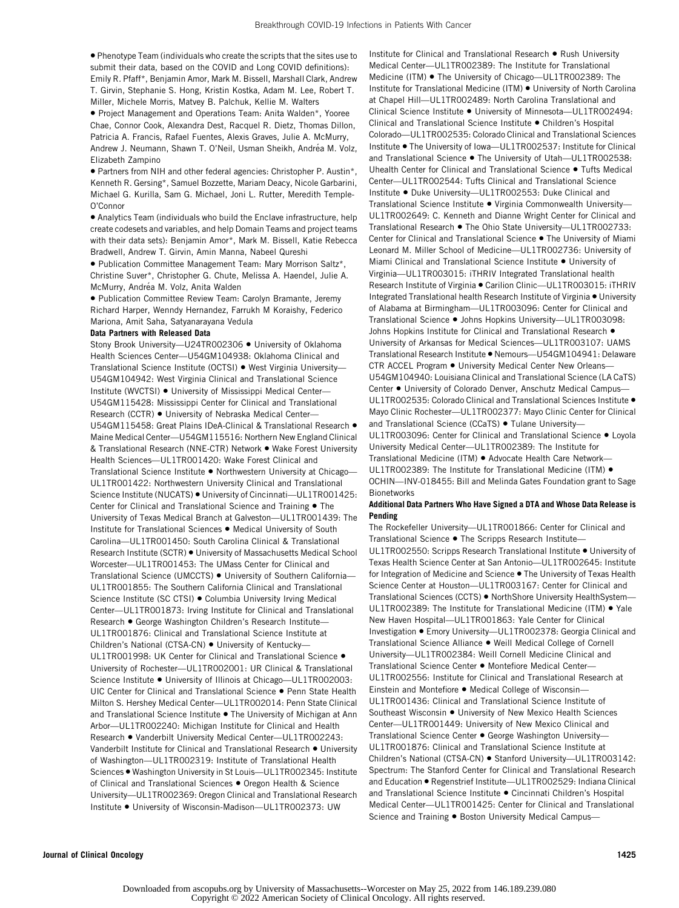• Phenotype Team (individuals who create the scripts that the sites use to submit their data, based on the COVID and Long COVID definitions): Emily R. Pfaff\*, Benjamin Amor, Mark M. Bissell, Marshall Clark, Andrew T. Girvin, Stephanie S. Hong, Kristin Kostka, Adam M. Lee, Robert T. Miller, Michele Morris, Matvey B. Palchuk, Kellie M. Walters

• Project Management and Operations Team: Anita Walden\*, Yooree Chae, Connor Cook, Alexandra Dest, Racquel R. Dietz, Thomas Dillon, Patricia A. Francis, Rafael Fuentes, Alexis Graves, Julie A. McMurry, Andrew J. Neumann, Shawn T. O'Neil, Usman Sheikh, Andréa M. Volz, Elizabeth Zampino

• Partners from NIH and other federal agencies: Christopher P. Austin\*, Kenneth R. Gersing\*, Samuel Bozzette, Mariam Deacy, Nicole Garbarini, Michael G. Kurilla, Sam G. Michael, Joni L. Rutter, Meredith Temple-O'Connor

• Analytics Team (individuals who build the Enclave infrastructure, help create codesets and variables, and help Domain Teams and project teams with their data sets): Benjamin Amor\*, Mark M. Bissell, Katie Rebecca Bradwell, Andrew T. Girvin, Amin Manna, Nabeel Qureshi

• Publication Committee Management Team: Mary Morrison Saltz\*, Christine Suver\*, Christopher G. Chute, Melissa A. Haendel, Julie A. McMurry, Andréa M. Volz, Anita Walden

• Publication Committee Review Team: Carolyn Bramante, Jeremy Richard Harper, Wenndy Hernandez, Farrukh M Koraishy, Federico Mariona, Amit Saha, Satyanarayana Vedula

#### Data Partners with Released Data

Stony Brook University—U24TR002306 • University of Oklahoma Health Sciences Center—U54GM104938: Oklahoma Clinical and Translational Science Institute (OCTSI) • West Virginia University— U54GM104942: West Virginia Clinical and Translational Science Institute (WVCTSI) • University of Mississippi Medical Center— U54GM115428: Mississippi Center for Clinical and Translational Research (CCTR) • University of Nebraska Medical Center— U54GM115458: Great Plains IDeA-Clinical & Translational Research • Maine Medical Center—U54GM115516: Northern New England Clinical & Translational Research (NNE-CTR) Network • Wake Forest University Health Sciences—UL1TR001420: Wake Forest Clinical and Translational Science Institute • Northwestern University at Chicago— UL1TR001422: Northwestern University Clinical and Translational Science Institute (NUCATS) • University of Cincinnati—UL1TR001425: Center for Clinical and Translational Science and Training • The University of Texas Medical Branch at Galveston—UL1TR001439: The Institute for Translational Sciences • Medical University of South Carolina—UL1TR001450: South Carolina Clinical & Translational Research Institute (SCTR) • University of Massachusetts Medical School Worcester—UL1TR001453: The UMass Center for Clinical and Translational Science (UMCCTS) • University of Southern California— UL1TR001855: The Southern California Clinical and Translational Science Institute (SC CTSI) • Columbia University Irving Medical Center—UL1TR001873: Irving Institute for Clinical and Translational Research • George Washington Children's Research Institute— UL1TR001876: Clinical and Translational Science Institute at Children's National (CTSA-CN) . University of Kentucky-UL1TR001998: UK Center for Clinical and Translational Science • University of Rochester—UL1TR002001: UR Clinical & Translational Science Institute • University of Illinois at Chicago—UL1TR002003: UIC Center for Clinical and Translational Science • Penn State Health Milton S. Hershey Medical Center—UL1TR002014: Penn State Clinical and Translational Science Institute . The University of Michigan at Ann Arbor—UL1TR002240: Michigan Institute for Clinical and Health Research • Vanderbilt University Medical Center—UL1TR002243: Vanderbilt Institute for Clinical and Translational Research . University of Washington—UL1TR002319: Institute of Translational Health Sciences • Washington University in St Louis—UL1TR002345: Institute of Clinical and Translational Sciences • Oregon Health & Science University—UL1TR002369: Oregon Clinical and Translational Research Institute • University of Wisconsin-Madison—UL1TR002373: UW

Institute for Clinical and Translational Research • Rush University Medical Center—UL1TR002389: The Institute for Translational Medicine (ITM) • The University of Chicago—UL1TR002389: The Institute for Translational Medicine (ITM) • University of North Carolina at Chapel Hill—UL1TR002489: North Carolina Translational and Clinical Science Institute • University of Minnesota—UL1TR002494: Clinical and Translational Science Institute • Children's Hospital Colorado—UL1TR002535: Colorado Clinical and Translational Sciences Institute • The University of Iowa—UL1TR002537: Institute for Clinical and Translational Science . The University of Utah-UL1TR002538: Uhealth Center for Clinical and Translational Science • Tufts Medical Center—UL1TR002544: Tufts Clinical and Translational Science Institute • Duke University—UL1TR002553: Duke Clinical and Translational Science Institute • Virginia Commonwealth University— UL1TR002649: C. Kenneth and Dianne Wright Center for Clinical and Translational Research • The Ohio State University—UL1TR002733: Center for Clinical and Translational Science • The University of Miami Leonard M. Miller School of Medicine—UL1TR002736: University of Miami Clinical and Translational Science Institute • University of Virginia—UL1TR003015: iTHRIV Integrated Translational health Research Institute of Virginia • Carilion Clinic—UL1TR003015: iTHRIV Integrated Translational health Research Institute of Virginia • University of Alabama at Birmingham—UL1TR003096: Center for Clinical and Translational Science • Johns Hopkins University—UL1TR003098: Johns Hopkins Institute for Clinical and Translational Research . University of Arkansas for Medical Sciences—UL1TR003107: UAMS Translational Research Institute • Nemours—U54GM104941: Delaware CTR ACCEL Program . University Medical Center New Orleans-U54GM104940: Louisiana Clinical and Translational Science (LA CaTS) Center • University of Colorado Denver, Anschutz Medical Campus-UL1TR002535: Colorado Clinical and Translational Sciences Institute • Mayo Clinic Rochester—UL1TR002377: Mayo Clinic Center for Clinical and Translational Science (CCaTS) · Tulane University-UL1TR003096: Center for Clinical and Translational Science • Loyola University Medical Center—UL1TR002389: The Institute for Translational Medicine (ITM) • Advocate Health Care Network— UL1TR002389: The Institute for Translational Medicine (ITM) • OCHIN—INV-018455: Bill and Melinda Gates Foundation grant to Sage

#### Additional Data Partners Who Have Signed a DTA and Whose Data Release is Pending

**Bionetworks** 

The Rockefeller University—UL1TR001866: Center for Clinical and Translational Science • The Scripps Research Institute— UL1TR002550: Scripps Research Translational Institute • University of Texas Health Science Center at San Antonio—UL1TR002645: Institute for Integration of Medicine and Science . The University of Texas Health Science Center at Houston—UL1TR003167: Center for Clinical and Translational Sciences (CCTS) • NorthShore University HealthSystem— UL1TR002389: The Institute for Translational Medicine (ITM) • Yale New Haven Hospital—UL1TR001863: Yale Center for Clinical Investigation • Emory University—UL1TR002378: Georgia Clinical and Translational Science Alliance • Weill Medical College of Cornell University—UL1TR002384: Weill Cornell Medicine Clinical and Translational Science Center • Montefiore Medical Center— UL1TR002556: Institute for Clinical and Translational Research at Einstein and Montefiore • Medical College of Wisconsin— UL1TR001436: Clinical and Translational Science Institute of Southeast Wisconsin • University of New Mexico Health Sciences Center—UL1TR001449: University of New Mexico Clinical and Translational Science Center • George Washington University— UL1TR001876: Clinical and Translational Science Institute at Children's National (CTSA-CN) • Stanford University—UL1TR003142: Spectrum: The Stanford Center for Clinical and Translational Research and Education • Regenstrief Institute—UL1TR002529: Indiana Clinical and Translational Science Institute • Cincinnati Children's Hospital Medical Center—UL1TR001425: Center for Clinical and Translational Science and Training • Boston University Medical Campus-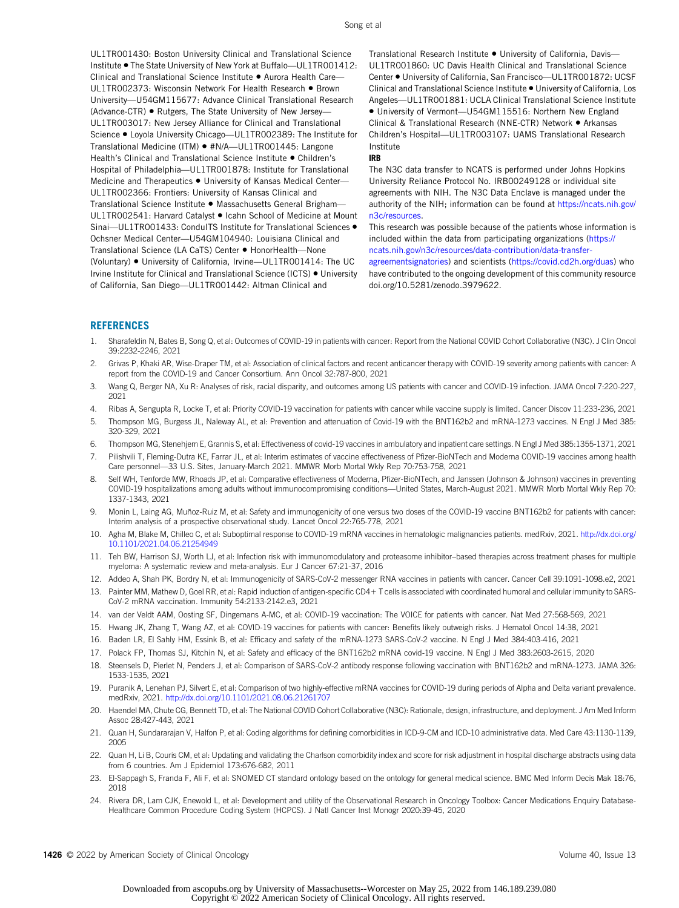UL1TR001430: Boston University Clinical and Translational Science Institute • The State University of New York at Buffalo-UL1TR001412: Clinical and Translational Science Institute ● Aurora Health Care– UL1TR002373: Wisconsin Network For Health Research • Brown University—U54GM115677: Advance Clinical Translational Research (Advance-CTR) • Rutgers, The State University of New Jersey— UL1TR003017: New Jersey Alliance for Clinical and Translational Science • Loyola University Chicago—UL1TR002389: The Institute for Translational Medicine (ITM) • #N/A—UL1TR001445: Langone Health's Clinical and Translational Science Institute • Children's Hospital of Philadelphia—UL1TR001878: Institute for Translational Medicine and Therapeutics • University of Kansas Medical Center— UL1TR002366: Frontiers: University of Kansas Clinical and Translational Science Institute • Massachusetts General Brigham— UL1TR002541: Harvard Catalyst • Icahn School of Medicine at Mount Sinai-UL1TR001433: ConduITS Institute for Translational Sciences . Ochsner Medical Center—U54GM104940: Louisiana Clinical and Translational Science (LA CaTS) Center • HonorHealth—None (Voluntary) • University of California, Irvine—UL1TR001414: The UC Irvine Institute for Clinical and Translational Science (ICTS) • University of California, San Diego—UL1TR001442: Altman Clinical and

Translational Research Institute • University of California, Davis— UL1TR001860: UC Davis Health Clinical and Translational Science Center • University of California, San Francisco—UL1TR001872: UCSF Clinical and Translational Science Institute • University of California, Los Angeles—UL1TR001881: UCLA Clinical Translational Science Institute • University of Vermont—U54GM115516: Northern New England Clinical & Translational Research (NNE-CTR) Network • Arkansas Children's Hospital—UL1TR003107: UAMS Translational Research Institute

#### IRB

The N3C data transfer to NCATS is performed under Johns Hopkins University Reliance Protocol No. IRB00249128 or individual site agreements with NIH. The N3C Data Enclave is managed under the authority of the NIH; information can be found at [https://ncats.nih.gov/](https://ncats.nih.gov/n3c/resources) [n3c/resources.](https://ncats.nih.gov/n3c/resources)

This research was possible because of the patients whose information is included within the data from participating organizations ([https://](https://ncats.nih.gov/n3c/resources/data-contribution/data-transfer-agreementsignatories) [ncats.nih.gov/n3c/resources/data-contribution/data-transfer-](https://ncats.nih.gov/n3c/resources/data-contribution/data-transfer-agreementsignatories)

[agreementsignatories](https://ncats.nih.gov/n3c/resources/data-contribution/data-transfer-agreementsignatories)) and scientists ([https://covid.cd2h.org/duas\)](https://covid.cd2h.org/duas) who have contributed to the ongoing development of this community resource doi.org/10.5281/zenodo.3979622.

#### **REFERENCES**

- <span id="page-13-0"></span>1. Sharafeldin N, Bates B, Song Q, et al: Outcomes of COVID-19 in patients with cancer: Report from the National COVID Cohort Collaborative (N3C). J Clin Oncol 39:2232-2246, 2021
- <span id="page-13-1"></span>2. Grivas P, Khaki AR, Wise-Draper TM, et al: Association of clinical factors and recent anticancer therapy with COVID-19 severity among patients with cancer: A report from the COVID-19 and Cancer Consortium. Ann Oncol 32:787-800, 2021
- 3. Wang Q, Berger NA, Xu R: Analyses of risk, racial disparity, and outcomes among US patients with cancer and COVID-19 infection. JAMA Oncol 7:220-227, 2021
- <span id="page-13-2"></span>4. Ribas A, Sengupta R, Locke T, et al: Priority COVID-19 vaccination for patients with cancer while vaccine supply is limited. Cancer Discov 11:233-236, 2021
- <span id="page-13-3"></span>5. Thompson MG, Burgess JL, Naleway AL, et al: Prevention and attenuation of Covid-19 with the BNT162b2 and mRNA-1273 vaccines. N Engl J Med 385: 320-329, 2021
- 6. Thompson MG, Stenehjem E, Grannis S, et al: Effectiveness of covid-19 vaccines in ambulatory and inpatient care settings. N Engl J Med 385:1355-1371, 2021
- 7. Pilishvili T, Fleming-Dutra KE, Farrar JL, et al: Interim estimates of vaccine effectiveness of Pfizer-BioNTech and Moderna COVID-19 vaccines among health Care personnel—33 U.S. Sites, January-March 2021. MMWR Morb Mortal Wkly Rep 70:753-758, 2021
- <span id="page-13-4"></span>8. Self WH, Tenforde MW, Rhoads JP, et al: Comparative effectiveness of Moderna, Pfizer-BioNTech, and Janssen (Johnson & Johnson) vaccines in preventing COVID-19 hospitalizations among adults without immunocompromising conditions—United States, March-August 2021. MMWR Morb Mortal Wkly Rep 70: 1337-1343, 2021
- <span id="page-13-5"></span>9. Monin L, Laing AG, Muñoz-Ruiz M, et al: Safety and immunogenicity of one versus two doses of the COVID-19 vaccine BNT162b2 for patients with cancer: Interim analysis of a prospective observational study. Lancet Oncol 22:765-778, 2021
- <span id="page-13-6"></span>10. Agha M, Blake M, Chilleo C, et al: Suboptimal response to COVID-19 mRNA vaccines in hematologic malignancies patients. medRxiv, 2021. [http://dx.doi.org/](http://dx.doi.org/10.1101/2021.04.06.21254949) [10.1101/2021.04.06.21254949](http://dx.doi.org/10.1101/2021.04.06.21254949)
- <span id="page-13-7"></span>11. Teh BW, Harrison SJ, Worth LJ, et al: Infection risk with immunomodulatory and proteasome inhibitor–based therapies across treatment phases for multiple myeloma: A systematic review and meta-analysis. Eur J Cancer 67:21-37, 2016
- <span id="page-13-8"></span>12. Addeo A, Shah PK, Bordry N, et al: Immunogenicity of SARS-CoV-2 messenger RNA vaccines in patients with cancer. Cancer Cell 39:1091-1098.e2, 2021
- <span id="page-13-9"></span>13. Painter MM, Mathew D, Goel RR, et al: Rapid induction of antigen-specific CD4+T cells is associated with coordinated humoral and cellular immunity to SARS-CoV-2 mRNA vaccination. Immunity 54:2133-2142.e3, 2021
- <span id="page-13-10"></span>14. van der Veldt AAM, Oosting SF, Dingemans A-MC, et al: COVID-19 vaccination: The VOICE for patients with cancer. Nat Med 27:568-569, 2021
- <span id="page-13-11"></span>15. Hwang JK, Zhang T, Wang AZ, et al: COVID-19 vaccines for patients with cancer: Benefits likely outweigh risks. J Hematol Oncol 14:38, 2021
- <span id="page-13-12"></span>16. Baden LR, El Sahly HM, Essink B, et al: Efficacy and safety of the mRNA-1273 SARS-CoV-2 vaccine. N Engl J Med 384:403-416, 2021
- <span id="page-13-13"></span>17. Polack FP, Thomas SJ, Kitchin N, et al: Safety and efficacy of the BNT162b2 mRNA covid-19 vaccine. N Engl J Med 383:2603-2615, 2020
- <span id="page-13-14"></span>18. Steensels D, Pierlet N, Penders J, et al: Comparison of SARS-CoV-2 antibody response following vaccination with BNT162b2 and mRNA-1273. JAMA 326: 1533-1535, 2021
- <span id="page-13-15"></span>19. Puranik A, Lenehan PJ, Silvert E, et al: Comparison of two highly-effective mRNA vaccines for COVID-19 during periods of Alpha and Delta variant prevalence. medRxiv, 2021. <http://dx.doi.org/10.1101/2021.08.06.21261707>
- <span id="page-13-16"></span>20. Haendel MA, Chute CG, Bennett TD, et al: The National COVID Cohort Collaborative (N3C): Rationale, design, infrastructure, and deployment. J Am Med Inform Assoc 28:427-443, 2021
- <span id="page-13-17"></span>21. Quan H, Sundararajan V, Halfon P, et al: Coding algorithms for defining comorbidities in ICD-9-CM and ICD-10 administrative data. Med Care 43:1130-1139, 2005
- 22. Quan H, Li B, Couris CM, et al: Updating and validating the Charlson comorbidity index and score for risk adjustment in hospital discharge abstracts using data from 6 countries. Am J Epidemiol 173:676-682, 2011
- <span id="page-13-18"></span>23. El-Sappagh S, Franda F, Ali F, et al: SNOMED CT standard ontology based on the ontology for general medical science. BMC Med Inform Decis Mak 18:76, 2018
- <span id="page-13-19"></span>24. Rivera DR, Lam CJK, Enewold L, et al: Development and utility of the Observational Research in Oncology Toolbox: Cancer Medications Enquiry Database-Healthcare Common Procedure Coding System (HCPCS). J Natl Cancer Inst Monogr 2020:39-45, 2020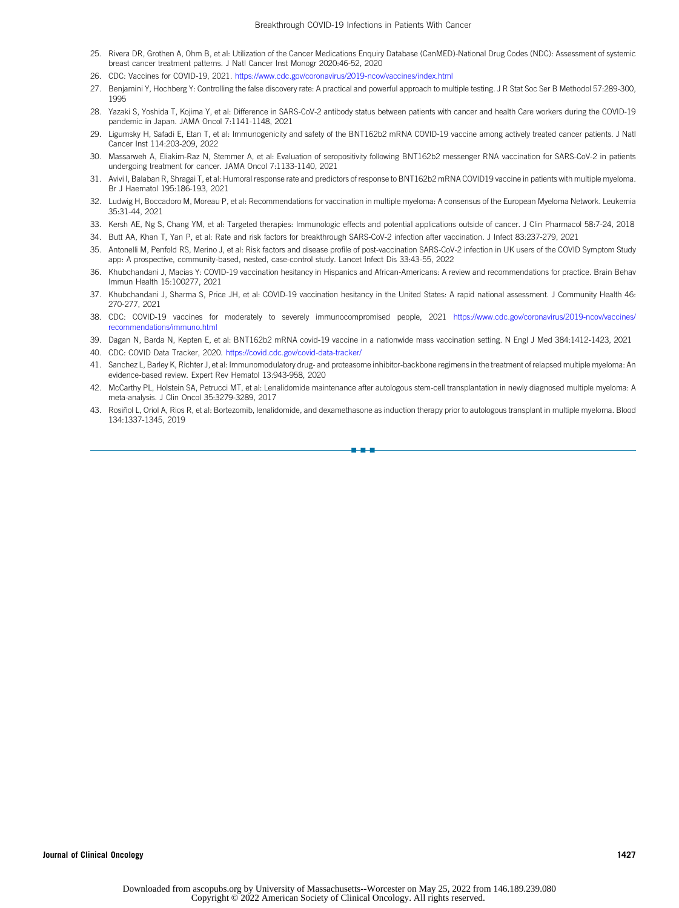- <span id="page-14-0"></span>25. Rivera DR, Grothen A, Ohm B, et al: Utilization of the Cancer Medications Enquiry Database (CanMED)-National Drug Codes (NDC): Assessment of systemic breast cancer treatment patterns. J Natl Cancer Inst Monogr 2020:46-52, 2020
- <span id="page-14-1"></span>26. CDC: Vaccines for COVID-19, 2021. <https://www.cdc.gov/coronavirus/2019-ncov/vaccines/index.html>
- <span id="page-14-2"></span>27. Benjamini Y, Hochberg Y: Controlling the false discovery rate: A practical and powerful approach to multiple testing. J R Stat Soc Ser B Methodol 57:289-300, 1995
- <span id="page-14-3"></span>28. Yazaki S, Yoshida T, Kojima Y, et al: Difference in SARS-CoV-2 antibody status between patients with cancer and health Care workers during the COVID-19 pandemic in Japan. JAMA Oncol 7:1141-1148, 2021
- 29. Ligumsky H, Safadi E, Etan T, et al: Immunogenicity and safety of the BNT162b2 mRNA COVID-19 vaccine among actively treated cancer patients. J Natl Cancer Inst 114:203-209, 2022
- <span id="page-14-4"></span>30. Massarweh A, Eliakim-Raz N, Stemmer A, et al: Evaluation of seropositivity following BNT162b2 messenger RNA vaccination for SARS-CoV-2 in patients undergoing treatment for cancer. JAMA Oncol 7:1133-1140, 2021
- <span id="page-14-5"></span>31. Avivi I, Balaban R, Shragai T, et al: Humoral response rate and predictors of response to BNT162b2 mRNA COVID19 vaccine in patients with multiple myeloma. Br J Haematol 195:186-193, 2021
- <span id="page-14-6"></span>32. Ludwig H, Boccadoro M, Moreau P, et al: Recommendations for vaccination in multiple myeloma: A consensus of the European Myeloma Network. Leukemia 35:31-44, 2021
- <span id="page-14-7"></span>33. Kersh AE, Ng S, Chang YM, et al: Targeted therapies: Immunologic effects and potential applications outside of cancer. J Clin Pharmacol 58:7-24, 2018
- 34. Butt AA, Khan T, Yan P, et al: Rate and risk factors for breakthrough SARS-CoV-2 infection after vaccination. J Infect 83:237-279, 2021
- <span id="page-14-8"></span>35. Antonelli M, Penfold RS, Merino J, et al: Risk factors and disease profile of post-vaccination SARS-CoV-2 infection in UK users of the COVID Symptom Study app: A prospective, community-based, nested, case-control study. Lancet Infect Dis 33:43-55, 2022
- <span id="page-14-9"></span>36. Khubchandani J, Macias Y: COVID-19 vaccination hesitancy in Hispanics and African-Americans: A review and recommendations for practice. Brain Behav Immun Health 15:100277, 2021
- <span id="page-14-10"></span>37. Khubchandani J, Sharma S, Price JH, et al: COVID-19 vaccination hesitancy in the United States: A rapid national assessment. J Community Health 46: 270-277, 2021
- <span id="page-14-11"></span>38. CDC: COVID-19 vaccines for moderately to severely immunocompromised people, 2021 [https://www.cdc.gov/coronavirus/2019-ncov/vaccines/](https://www.cdc.gov/coronavirus/2019-ncov/vaccines/recommendations/immuno.html) [recommendations/immuno.html](https://www.cdc.gov/coronavirus/2019-ncov/vaccines/recommendations/immuno.html)
- <span id="page-14-12"></span>39. Dagan N, Barda N, Kepten E, et al: BNT162b2 mRNA covid-19 vaccine in a nationwide mass vaccination setting. N Engl J Med 384:1412-1423, 2021
- <span id="page-14-13"></span>40. CDC: COVID Data Tracker, 2020. <https://covid.cdc.gov/covid-data-tracker/>
- <span id="page-14-14"></span>41. Sanchez L, Barley K, Richter J, et al: Immunomodulatory drug- and proteasome inhibitor-backbone regimens in the treatment of relapsed multiple myeloma: An evidence-based review. Expert Rev Hematol 13:943-958, 2020
- <span id="page-14-15"></span>42. McCarthy PL, Holstein SA, Petrucci MT, et al: Lenalidomide maintenance after autologous stem-cell transplantation in newly diagnosed multiple myeloma: A meta-analysis. J Clin Oncol 35:3279-3289, 2017
- <span id="page-14-16"></span>43. Rosiñol L, Oriol A, Rios R, et al: Bortezomib, lenalidomide, and dexamethasone as induction therapy prior to autologous transplant in multiple myeloma. Blood 134:1337-1345, 2019

nn - 1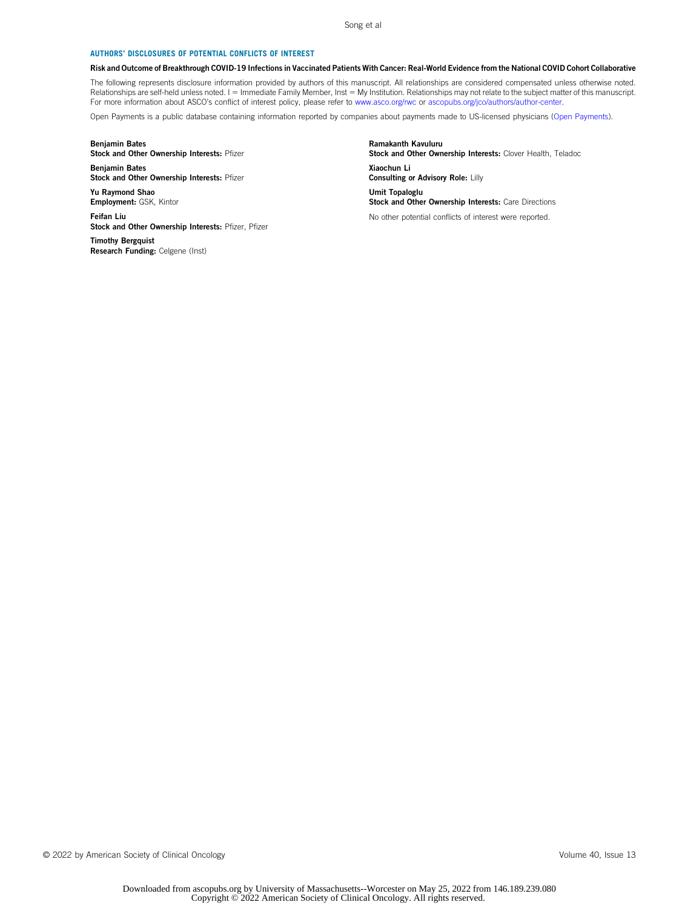#### AUTHORS' DISCLOSURES OF POTENTIAL CONFLICTS OF INTEREST

#### Risk and Outcome of Breakthrough COVID-19 Infections in Vaccinated Patients With Cancer: Real-World Evidence from the National COVID Cohort Collaborative

The following represents disclosure information provided by authors of this manuscript. All relationships are considered compensated unless otherwise noted. Relationships are self-held unless noted. I = Immediate Family Member, Inst = My Institution. Relationships may not relate to the subject matter of this manuscript. For more information about ASCO's conflict of interest policy, please refer to [www.asco.org/rwc](http://www.asco.org/rwc) or [ascopubs.org/jco/authors/author-center](https://ascopubs.org/jco/authors/author-center).

Open Payments is a public database containing information reported by companies about payments made to US-licensed physicians [\(Open Payments](https://openpaymentsdata.cms.gov/)).

#### Benjamin Bates Stock and Other Ownership Interests: Pfizer

Benjamin Bates Stock and Other Ownership Interests: Pfizer

Yu Raymond Shao Employment: GSK, Kintor

Feifan Liu Stock and Other Ownership Interests: Pfizer, Pfizer

Timothy Bergquist Research Funding: Celgene (Inst) Ramakanth Kavuluru Stock and Other Ownership Interests: Clover Health, Teladoc Xiaochun Li Consulting or Advisory Role: Lilly Umit Topaloglu Stock and Other Ownership Interests: Care Directions No other potential conflicts of interest were reported.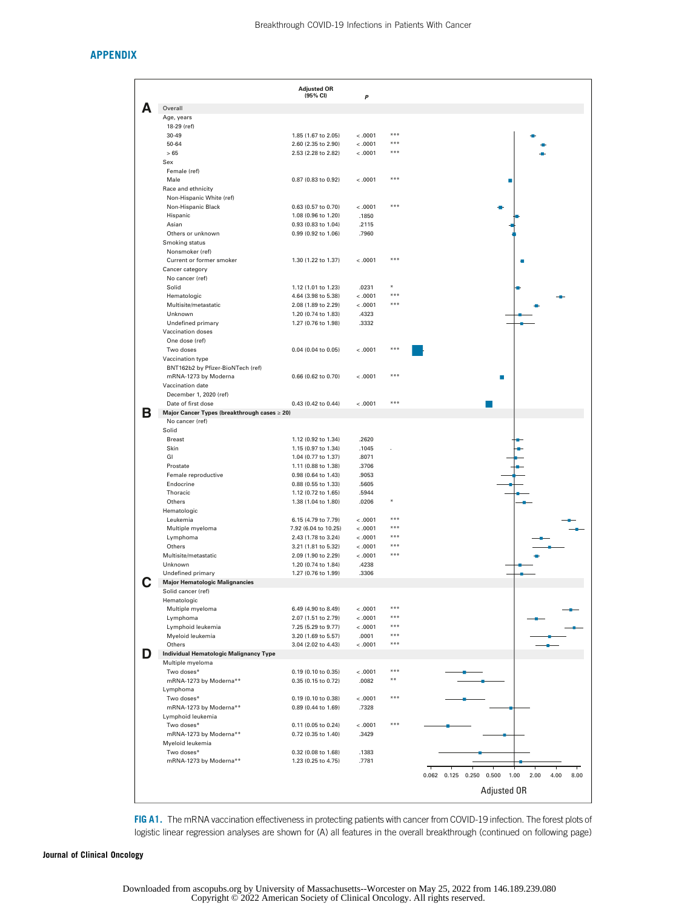# APPENDIX

|   |                                                                   | <b>Adjusted OR</b><br>(95% CI)             | P              |                |                                                         |
|---|-------------------------------------------------------------------|--------------------------------------------|----------------|----------------|---------------------------------------------------------|
|   | Overall                                                           |                                            |                |                |                                                         |
|   | Age, years                                                        |                                            |                |                |                                                         |
|   | 18-29 (ref)                                                       |                                            |                |                |                                                         |
|   | 30-49                                                             | 1.85 (1.67 to 2.05)                        | < 0.001        |                |                                                         |
|   | 50-64                                                             | 2.60 (2.35 to 2.90)                        | < 0.001        | $* * *$<br>*** |                                                         |
|   | > 65<br>Sex                                                       | 2.53 (2.28 to 2.82)                        | < 0.001        |                |                                                         |
|   | Female (ref)                                                      |                                            |                |                |                                                         |
|   | Male                                                              | 0.87 (0.83 to 0.92)                        | < .0001        | ***            | г                                                       |
|   | Race and ethnicity                                                |                                            |                |                |                                                         |
|   | Non-Hispanic White (ref)                                          |                                            |                |                |                                                         |
|   | Non-Hispanic Black                                                | 0.63 (0.57 to 0.70)                        | < 0.001        | $* * *$        |                                                         |
|   | Hispanic                                                          | 1.08 (0.96 to 1.20)                        | .1850          |                |                                                         |
|   | Asian<br>Others or unknown                                        | 0.93 (0.83 to 1.04)                        | .2115          |                |                                                         |
|   | Smoking status                                                    | 0.99 (0.92 to 1.06)                        | .7960          |                |                                                         |
|   | Nonsmoker (ref)                                                   |                                            |                |                |                                                         |
|   | Current or former smoker                                          | 1.30 (1.22 to 1.37)                        | < .0001        | ***            |                                                         |
|   | Cancer category                                                   |                                            |                |                |                                                         |
|   | No cancer (ref)                                                   |                                            |                |                |                                                         |
|   | Solid                                                             | 1.12 (1.01 to 1.23)                        | .0231          |                |                                                         |
|   | Hematologic                                                       | 4.64 (3.98 to 5.38)                        | < .0001        | ***            |                                                         |
|   | Multisite/metastatic                                              | 2.08 (1.89 to 2.29)                        | < .0001        | ***            |                                                         |
|   | Unknown                                                           | 1.20 (0.74 to 1.83)                        | .4323          |                |                                                         |
|   | Undefined primary<br>Vaccination doses                            | 1.27 (0.76 to 1.98)                        | .3332          |                |                                                         |
|   | One dose (ref)                                                    |                                            |                |                |                                                         |
|   | Two doses                                                         | 0.04 (0.04 to 0.05)                        | < .0001        | ***            |                                                         |
|   | Vaccination type                                                  |                                            |                |                |                                                         |
|   | BNT162b2 by Pfizer-BioNTech (ref)                                 |                                            |                |                |                                                         |
|   | mRNA-1273 by Moderna                                              | 0.66 (0.62 to 0.70)                        | < .0001        | ***            |                                                         |
|   | Vaccination date                                                  |                                            |                |                |                                                         |
|   | December 1, 2020 (ref)                                            |                                            |                | $* * *$        |                                                         |
|   | Date of first dose                                                | 0.43 (0.42 to 0.44)                        | $-.0001$       |                |                                                         |
| в | Major Cancer Types (breakthrough cases ≥ 20)<br>No cancer (ref)   |                                            |                |                |                                                         |
|   | Solid                                                             |                                            |                |                |                                                         |
|   | <b>Breast</b>                                                     | 1.12 (0.92 to 1.34)                        | .2620          |                |                                                         |
|   | Skin                                                              | 1.15 (0.97 to 1.34)                        | .1045          |                |                                                         |
|   | GI                                                                | 1.04 (0.77 to 1.37)                        | .8071          |                |                                                         |
|   | Prostate                                                          | 1.11 (0.88 to 1.38)                        | .3706          |                |                                                         |
|   | Female reproductive                                               | 0.98 (0.64 to 1.43)                        | .9053          |                |                                                         |
|   | Endocrine<br>Thoracic                                             | 0.88 (0.55 to 1.33)<br>1.12 (0.72 to 1.65) | .5605<br>.5944 |                |                                                         |
|   | Others                                                            | 1.38 (1.04 to 1.80)                        | .0206          |                |                                                         |
|   | Hematologic                                                       |                                            |                |                |                                                         |
|   | Leukemia                                                          | 6.15 (4.79 to 7.79)                        | < 0.001        |                |                                                         |
|   | Multiple myeloma                                                  | 7.92 (6.04 to 10.25)                       | < .0001        | ***            |                                                         |
|   | Lymphoma                                                          | 2.43 (1.78 to 3.24)                        | < 0.001        | ***            |                                                         |
|   | Others                                                            | 3.21 (1.81 to 5.32)                        | < .0001        | ***            |                                                         |
|   | Multisite/metastatic                                              | 2.09 (1.90 to 2.29)                        | < .0001        | ***            |                                                         |
|   | Unknown                                                           | 1.20 (0.74 to 1.84)                        | .4238          |                |                                                         |
|   | Undefined primary<br><b>Major Hematologic Malignancies</b>        | 1.27 (0.76 to 1.99)                        | .3306          |                |                                                         |
|   | Solid cancer (ref)                                                |                                            |                |                |                                                         |
|   | Hematologic                                                       |                                            |                |                |                                                         |
|   | Multiple myeloma                                                  | 6.49 (4.90 to 8.49)                        | < 0.001        | ***            |                                                         |
|   | Lymphoma                                                          | 2.07 (1.51 to 2.79)                        | < 0.001        | ***            |                                                         |
|   | Lymphoid leukemia                                                 | 7.25 (5.29 to 9.77)                        | < .0001        | ***            |                                                         |
|   | Myeloid leukemia                                                  | 3.20 (1.69 to 5.57)                        | .0001          | $* * *$        |                                                         |
|   | Others                                                            | 3.04 (2.02 to 4.43)                        | < .0001        | ***            |                                                         |
| D | <b>Individual Hematologic Malignancy Type</b><br>Multiple myeloma |                                            |                |                |                                                         |
|   | Two doses*                                                        | 0.19 (0.10 to 0.35)                        | < .0001        | $* * *$        |                                                         |
|   | mRNA-1273 by Moderna**                                            | 0.35 (0.15 to 0.72)                        | .0082          | $* *$          |                                                         |
|   | Lymphoma                                                          |                                            |                |                |                                                         |
|   | Two doses*                                                        | 0.19 (0.10 to 0.38)                        | < 0.001        | ***            |                                                         |
|   | mRNA-1273 by Moderna**                                            | 0.89 (0.44 to 1.69)                        | .7328          |                |                                                         |
|   | Lymphoid leukemia                                                 |                                            |                |                |                                                         |
|   | Two doses*                                                        | 0.11 (0.05 to 0.24)                        | $-.0001$       | ***            |                                                         |
|   | mRNA-1273 by Moderna**<br>Myeloid leukemia                        | 0.72 (0.35 to 1.40)                        | .3429          |                |                                                         |
|   | Two doses*                                                        | 0.32 (0.08 to 1.68)                        | .1383          |                |                                                         |
|   | mRNA-1273 by Moderna**                                            | 1.23 (0.25 to 4.75)                        | .7781          |                |                                                         |
|   |                                                                   |                                            |                |                |                                                         |
|   |                                                                   |                                            |                |                | 0.062 0.125 0.250 0.500<br>1.00<br>2.00<br>4.00<br>8.00 |
|   |                                                                   |                                            |                |                | Adjusted OR                                             |
|   |                                                                   |                                            |                |                |                                                         |

<span id="page-16-0"></span>FIG A1. The mRNA vaccination effectiveness in protecting patients with cancer from COVID-19 infection. The forest plots of logistic linear regression analyses are shown for (A) all features in the overall breakthrough (continued on following page)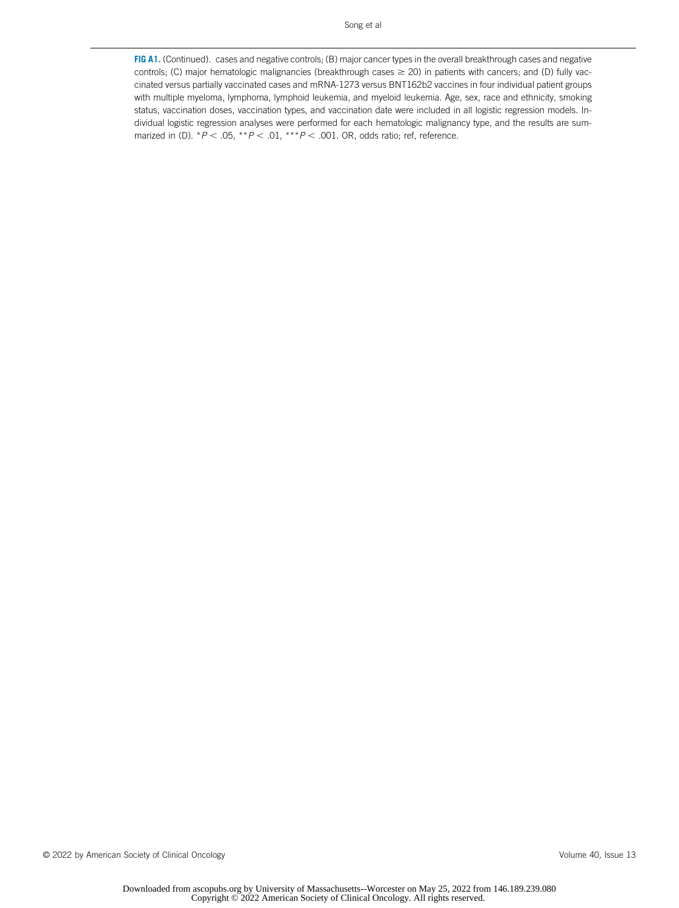FIG A1. (Continued). cases and negative controls; (B) major cancer types in the overall breakthrough cases and negative controls; (C) major hematologic malignancies (breakthrough cases  $\geq$  20) in patients with cancers; and (D) fully vaccinated versus partially vaccinated cases and mRNA-1273 versus BNT162b2 vaccines in four individual patient groups with multiple myeloma, lymphoma, lymphoid leukemia, and myeloid leukemia. Age, sex, race and ethnicity, smoking status, vaccination doses, vaccination types, and vaccination date were included in all logistic regression models. Individual logistic regression analyses were performed for each hematologic malignancy type, and the results are summarized in (D).  $*P < .05$ ,  $*P < .01$ ,  $**P < .001$ . OR, odds ratio; ref, reference.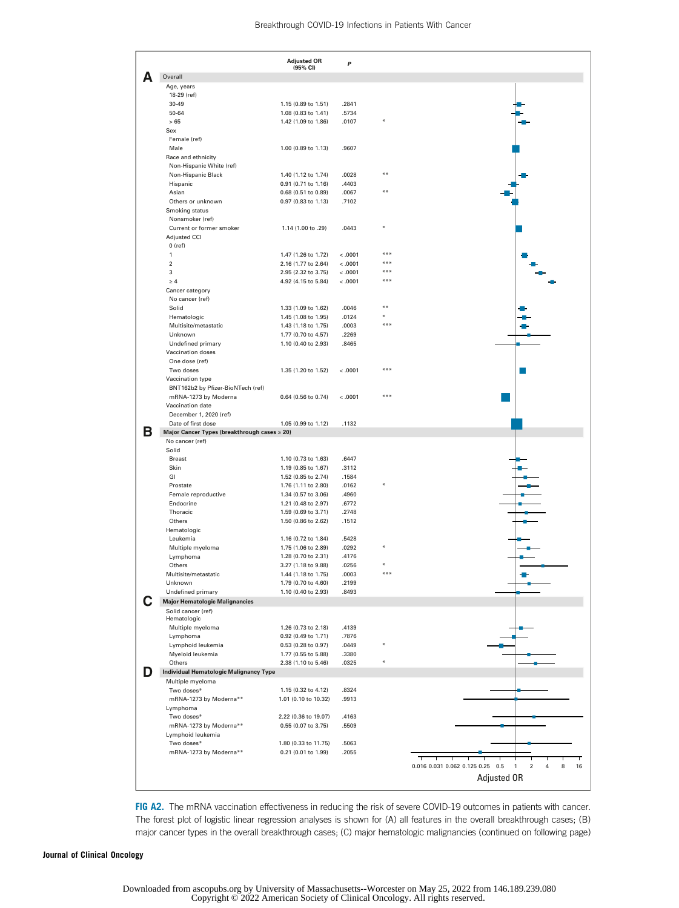|   |                                                                   | <b>Adjusted OR</b>                          | P                  |            |                                                                         |
|---|-------------------------------------------------------------------|---------------------------------------------|--------------------|------------|-------------------------------------------------------------------------|
|   | Overall                                                           | (95% CI)                                    |                    |            |                                                                         |
|   | Age, years                                                        |                                             |                    |            |                                                                         |
|   | 18-29 (ref)                                                       |                                             |                    |            |                                                                         |
|   | $30 - 49$                                                         | 1.15 (0.89 to 1.51)                         | .2841              |            |                                                                         |
|   | 50-64                                                             | 1.08 (0.83 to 1.41)                         | .5734              |            |                                                                         |
|   | >65                                                               | 1.42 (1.09 to 1.86)                         | .0107              |            |                                                                         |
|   | Sex<br>Female (ref)                                               |                                             |                    |            |                                                                         |
|   | Male                                                              | 1.00 (0.89 to 1.13)                         | .9607              |            |                                                                         |
|   | Race and ethnicity                                                |                                             |                    |            |                                                                         |
|   | Non-Hispanic White (ref)                                          |                                             |                    |            |                                                                         |
|   | Non-Hispanic Black                                                | 1.40 (1.12 to 1.74)                         | .0028              | $* *$      |                                                                         |
|   | Hispanic                                                          | 0.91 (0.71 to 1.16)                         | .4403              |            |                                                                         |
|   | Asian                                                             | 0.68 (0.51 to 0.89)                         | .0067              | * *        |                                                                         |
|   | Others or unknown<br>Smoking status                               | 0.97 (0.83 to 1.13)                         | .7102              |            |                                                                         |
|   | Nonsmoker (ref)                                                   |                                             |                    |            |                                                                         |
|   | Current or former smoker                                          | 1.14 (1.00 to .29)                          | .0443              |            |                                                                         |
|   | Adjusted CCI                                                      |                                             |                    |            |                                                                         |
|   | $0$ (ref)                                                         |                                             |                    |            |                                                                         |
|   | 1                                                                 | 1.47 (1.26 to 1.72)                         | < .0001            | ***        |                                                                         |
|   | $\overline{\mathbf{c}}$                                           | 2.16 (1.77 to 2.64)                         | < .0001            | ***<br>*** |                                                                         |
|   | 3<br>$\geq 4$                                                     | 2.95 (2.32 to 3.75)<br>4.92 (4.15 to 5.84)  | < .0001<br>< .0001 | ***        |                                                                         |
|   | Cancer category                                                   |                                             |                    |            |                                                                         |
|   | No cancer (ref)                                                   |                                             |                    |            |                                                                         |
|   | Solid                                                             | 1.33 (1.09 to 1.62)                         | .0046              | **         |                                                                         |
|   | Hematologic                                                       | 1.45 (1.08 to 1.95)                         | .0124              |            |                                                                         |
|   | Multisite/metastatic                                              | 1.43 (1.18 to 1.75)                         | .0003              | $* * *$    |                                                                         |
|   | Unknown                                                           | 1.77 (0.70 to 4.57)                         | .2269              |            |                                                                         |
|   | Undefined primary<br>Vaccination doses                            | 1.10 (0.40 to 2.93)                         | .8465              |            |                                                                         |
|   | One dose (ref)                                                    |                                             |                    |            |                                                                         |
|   | Two doses                                                         | 1.35 (1.20 to 1.52)                         | < .0001            | ***        |                                                                         |
|   | Vaccination type                                                  |                                             |                    |            |                                                                         |
|   | BNT162b2 by Pfizer-BioNTech (ref)                                 |                                             |                    |            |                                                                         |
|   | mRNA-1273 by Moderna                                              | 0.64 (0.56 to 0.74)                         | < .0001            | $* * *$    |                                                                         |
|   | Vaccination date                                                  |                                             |                    |            |                                                                         |
|   | December 1, 2020 (ref)<br>Date of first dose                      | 1.05 (0.99 to 1.12)                         | .1132              |            |                                                                         |
| в | Major Cancer Types (breakthrough cases ≥ 20)                      |                                             |                    |            |                                                                         |
|   | No cancer (ref)                                                   |                                             |                    |            |                                                                         |
|   | Solid                                                             |                                             |                    |            |                                                                         |
|   | <b>Breast</b>                                                     | 1.10 (0.73 to 1.63)                         | .6447              |            |                                                                         |
|   | Skin<br>GI                                                        | 1.19 (0.85 to 1.67)                         | .3112<br>.1584     |            |                                                                         |
|   | Prostate                                                          | 1.52 (0.85 to 2.74)<br>1.76 (1.11 to 2.80)  | .0162              |            |                                                                         |
|   | Female reproductive                                               | 1.34 (0.57 to 3.06)                         | .4960              |            |                                                                         |
|   | Endocrine                                                         | 1.21 (0.48 to 2.97)                         | .6772              |            |                                                                         |
|   | Thoracic                                                          | 1.59 (0.69 to 3.71)                         | .2748              |            |                                                                         |
|   | Others                                                            | 1.50 (0.86 to 2.62)                         | .1512              |            |                                                                         |
|   | Hematologic                                                       |                                             |                    |            |                                                                         |
|   | Leukemia<br>Multiple myeloma                                      | 1.16 (0.72 to 1.84)<br>1.75 (1.06 to 2.89)  | .5428<br>.0292     |            |                                                                         |
|   | Lymphoma                                                          | 1.28 (0.70 to 2.31)                         | .4176              |            |                                                                         |
|   | Others                                                            | 3.27 (1.18 to 9.88)                         | .0256              |            |                                                                         |
|   | Multisite/metastatic                                              | 1.44 (1.18 to 1.75)                         | .0003              |            |                                                                         |
|   | Unknown                                                           | 1.79 (0.70 to 4.60)                         | .2199              |            |                                                                         |
|   | Undefined primary                                                 | 1.10 (0.40 to 2.93)                         | .8493              |            |                                                                         |
|   | <b>Major Hematologic Malignancies</b>                             |                                             |                    |            |                                                                         |
|   | Solid cancer (ref)<br>Hematologic                                 |                                             |                    |            |                                                                         |
|   | Multiple myeloma                                                  | 1.26 (0.73 to 2.18)                         | .4139              |            |                                                                         |
|   | Lymphoma                                                          | 0.92 (0.49 to 1.71)                         | .7876              |            |                                                                         |
|   | Lymphoid leukemia                                                 | 0.53 (0.28 to 0.97)                         | .0449              |            |                                                                         |
|   | Myeloid leukemia                                                  | 1.77 (0.55 to 5.88)                         | .3380              |            |                                                                         |
|   | Others                                                            | 2.38 (1.10 to 5.46)                         | .0325              |            |                                                                         |
|   | <b>Individual Hematologic Malignancy Type</b><br>Multiple myeloma |                                             |                    |            |                                                                         |
|   | Two doses*                                                        | 1.15 (0.32 to 4.12)                         | .8324              |            |                                                                         |
|   | mRNA-1273 by Moderna**                                            | 1.01 (0.10 to 10.32)                        | .9913              |            |                                                                         |
|   | Lymphoma                                                          |                                             |                    |            |                                                                         |
|   | Two doses*                                                        | 2.22 (0.36 to 19.07)                        | .4163              |            |                                                                         |
|   | mRNA-1273 by Moderna**                                            | 0.55 (0.07 to 3.75)                         | .5509              |            |                                                                         |
|   | Lymphoid leukemia                                                 |                                             |                    |            |                                                                         |
|   | Two doses*<br>mRNA-1273 by Moderna**                              | 1.80 (0.33 to 11.75)<br>0.21 (0.01 to 1.99) | .5063<br>.2055     |            |                                                                         |
|   |                                                                   |                                             |                    |            | ┯                                                                       |
|   |                                                                   |                                             |                    |            | 0.016 0.031 0.062 0.125 0.25 0.5<br>$\overline{2}$<br>4<br>8<br>1<br>16 |
|   |                                                                   |                                             |                    |            | Adjusted OR                                                             |
|   |                                                                   |                                             |                    |            |                                                                         |

<span id="page-18-0"></span>FIG A2. The mRNA vaccination effectiveness in reducing the risk of severe COVID-19 outcomes in patients with cancer. The forest plot of logistic linear regression analyses is shown for (A) all features in the overall breakthrough cases; (B) major cancer types in the overall breakthrough cases; (C) major hematologic malignancies (continued on following page)